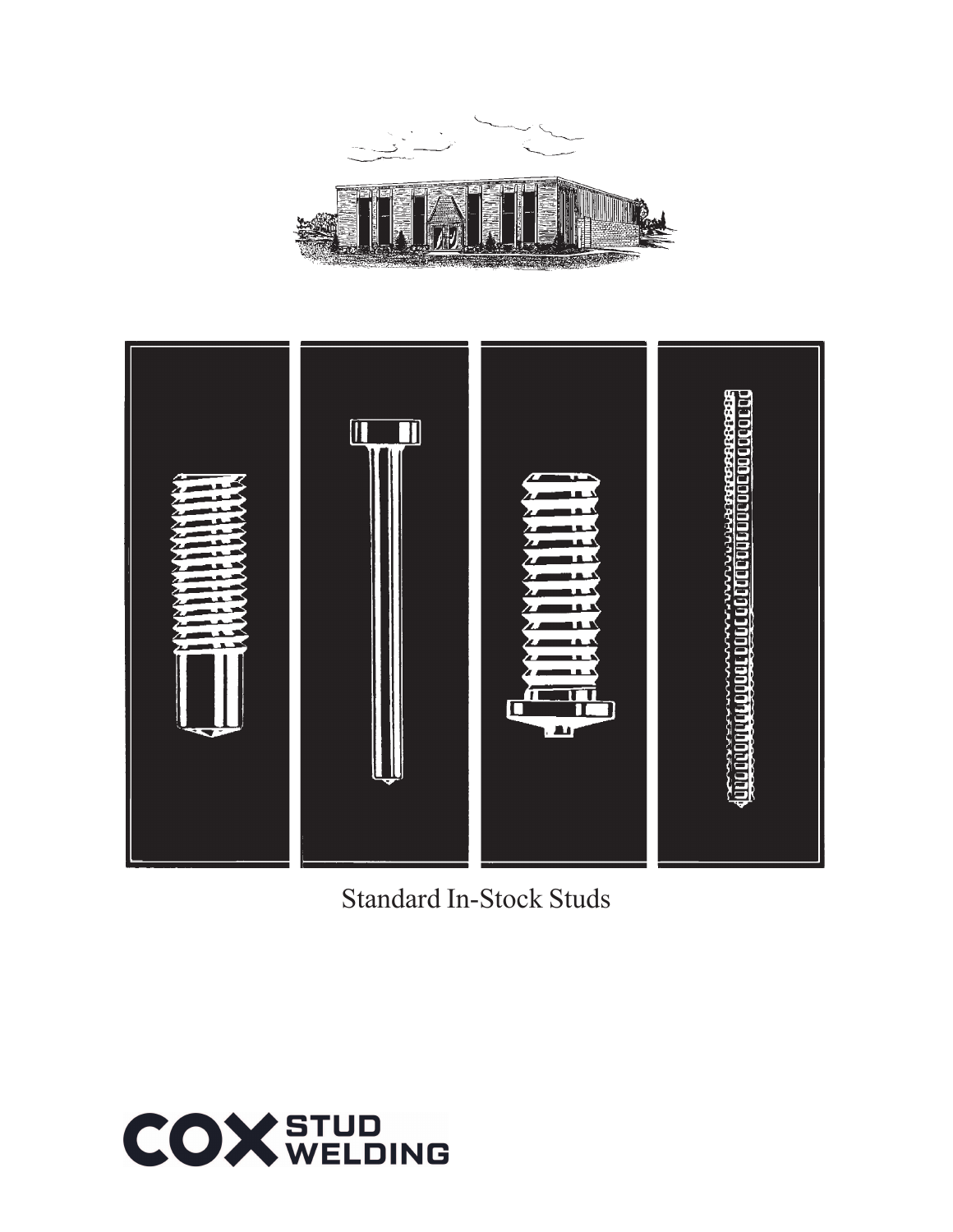



Standard In-Stock Studs

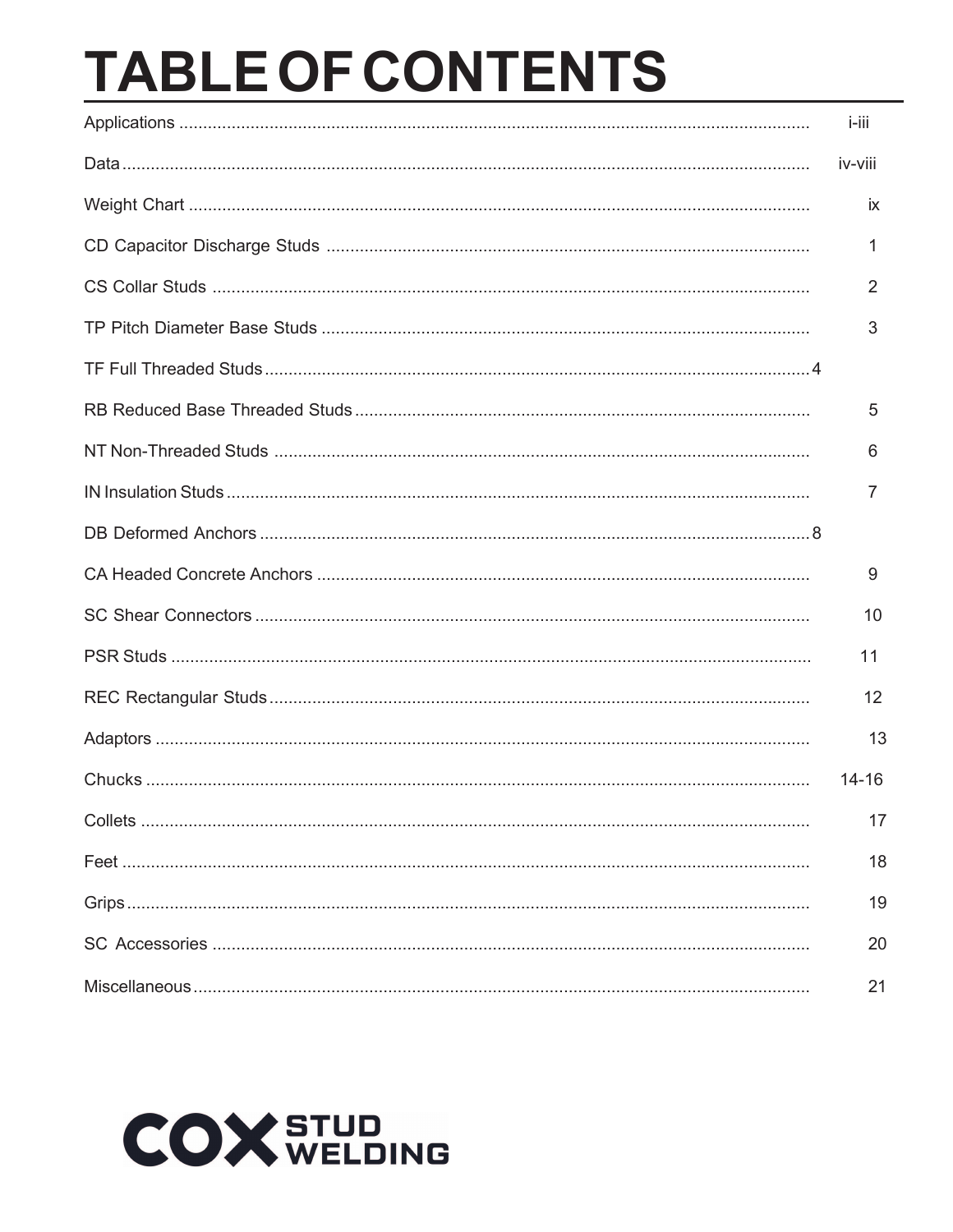# **TABLE OF CONTENTS**

| i-iii     |
|-----------|
| iv-viii   |
| <b>ix</b> |
| 1         |
| 2         |
| 3         |
|           |
| 5         |
| 6         |
| 7         |
|           |
| 9         |
| 10        |
| 11        |
| 12        |
| 13        |
| $14 - 16$ |
| 17        |
| 18        |
| 19        |
| 20        |
| 21        |

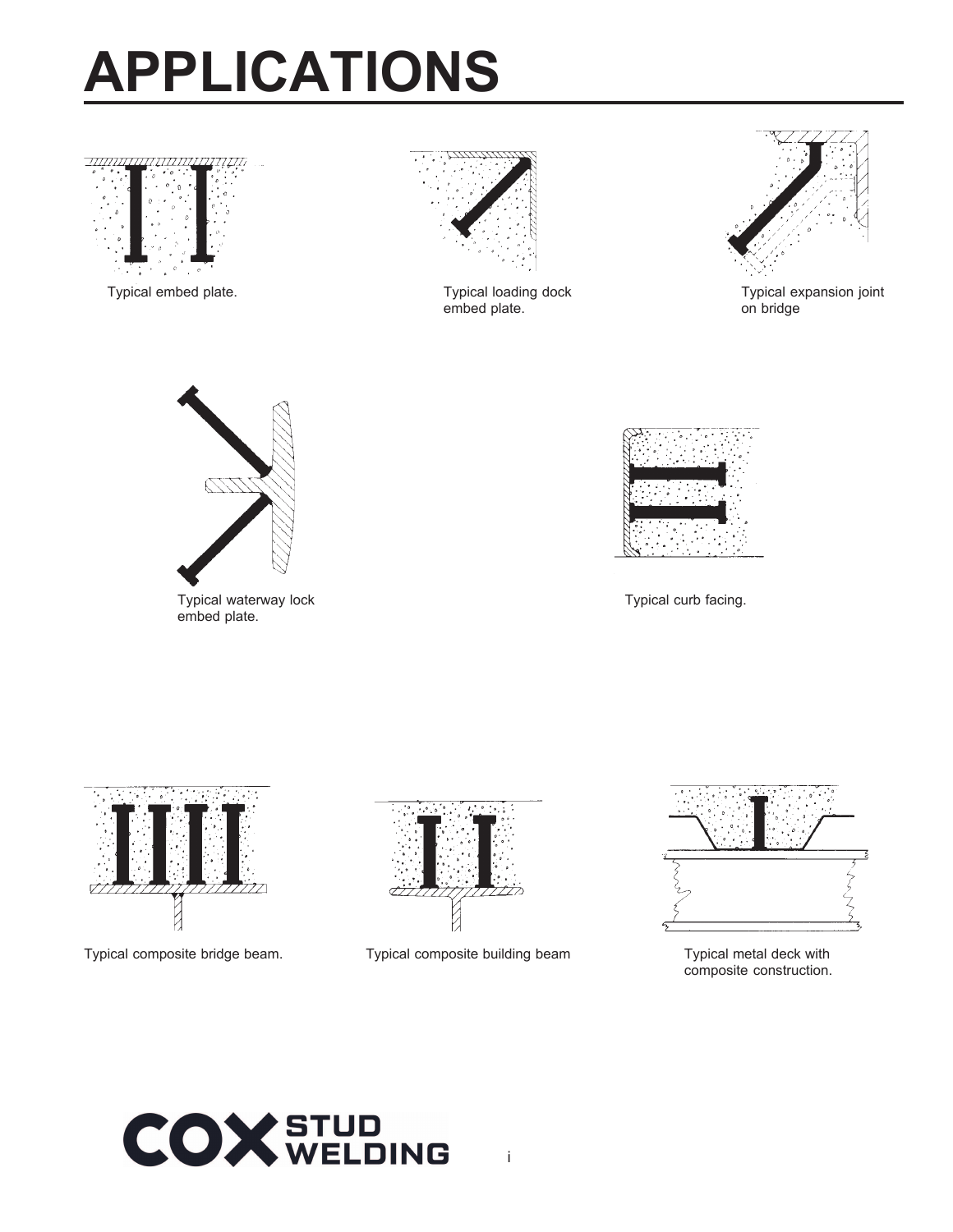# **APPLICATIONS**



Typical embed plate. Typical loading dock



embed plate.



Typical expansion joint on bridge



Typical waterway lock Typical curb facing. embed plate.







Typical composite bridge beam. Typical composite building beam Typical metal deck with



composite construction.

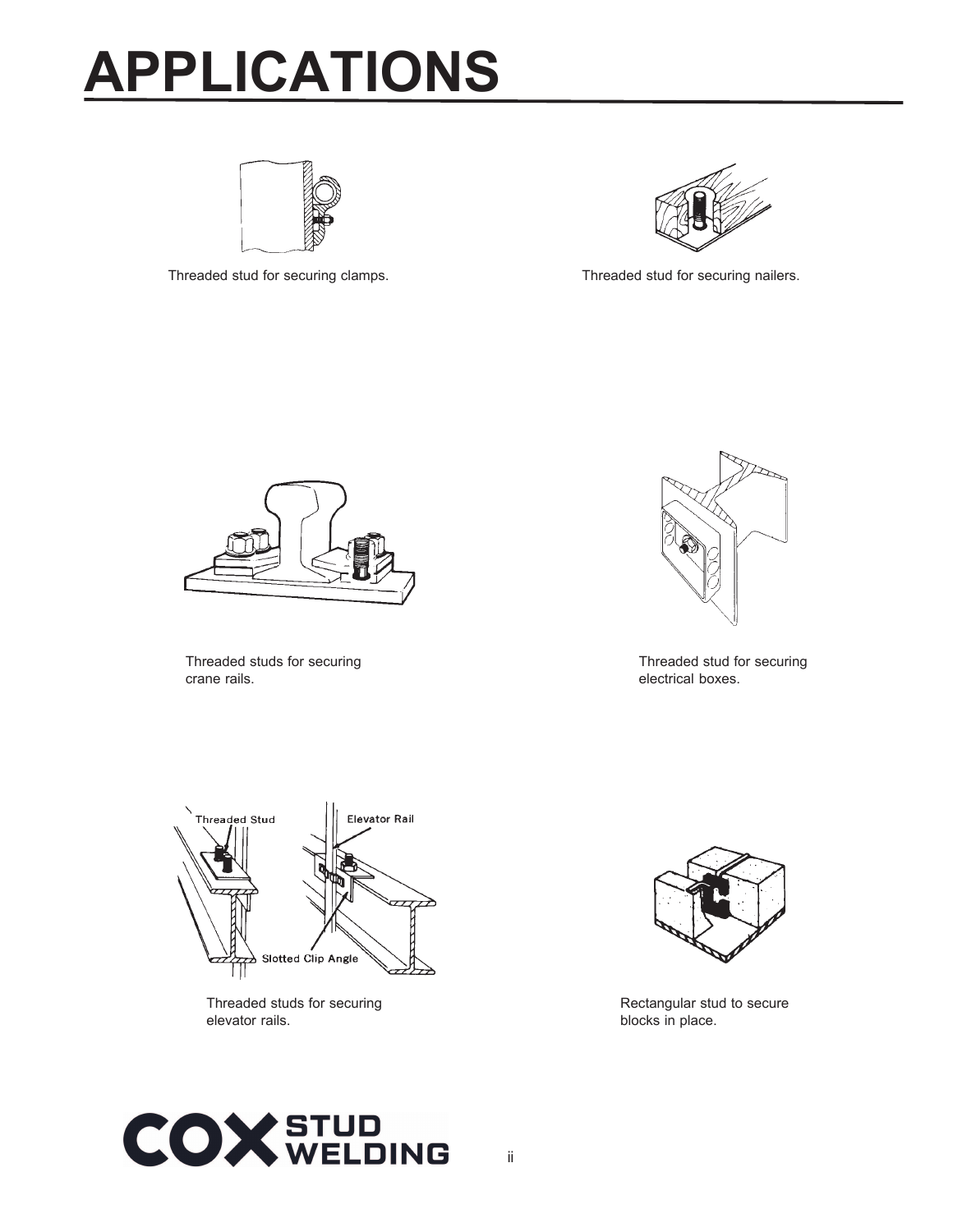# **APPLICATIONS**



Threaded stud for securing clamps. Threaded stud for securing nailers.





Threaded studs for securing crane rails.



Threaded stud for securing electrical boxes.



Threaded studs for securing elevator rails.



Rectangular stud to secure blocks in place.

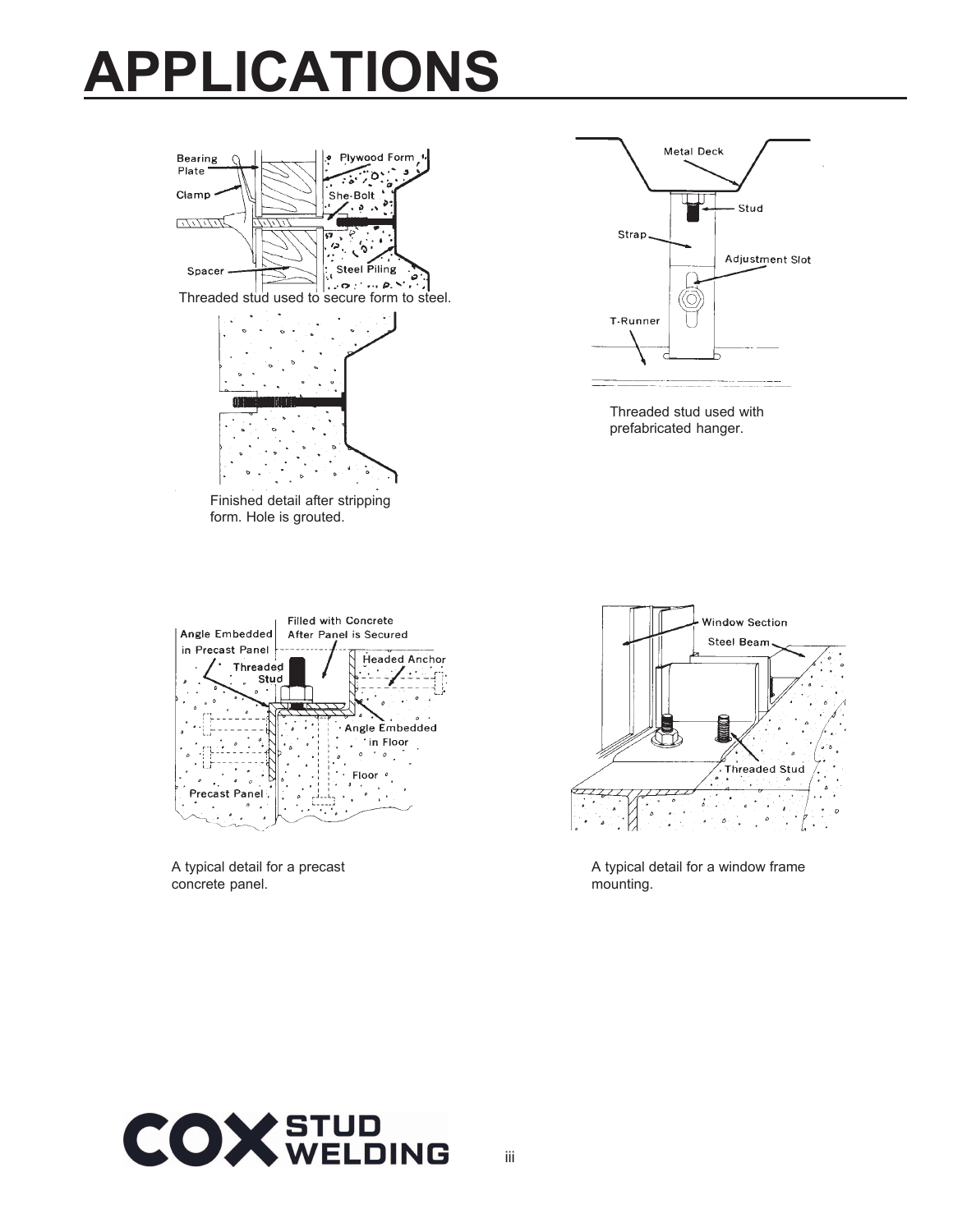### **APPLICATIONS**





Threaded stud used with prefabricated hanger.



A typical detail for a precast concrete panel.



A typical detail for a window frame mounting.

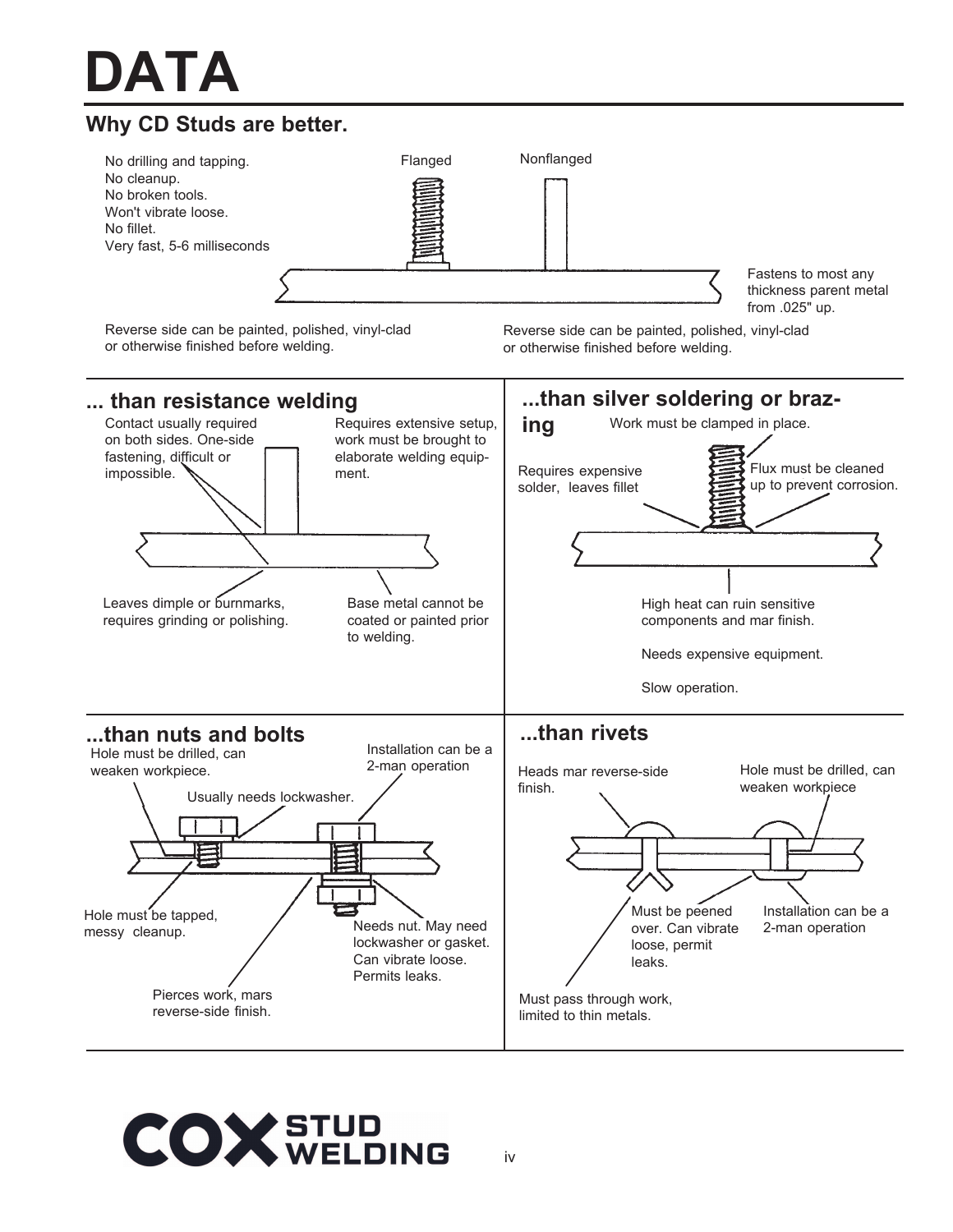# **DATA**



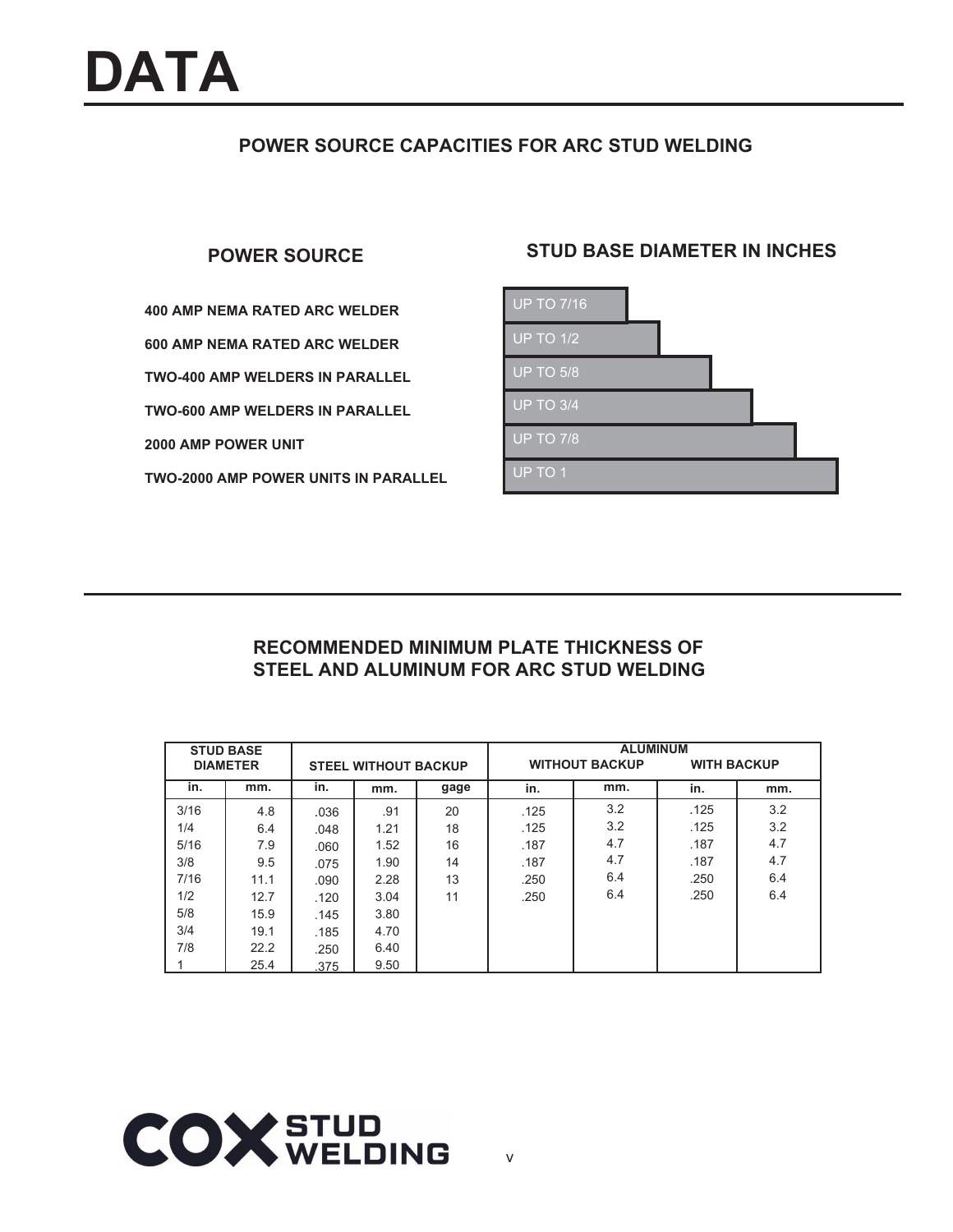### **POWER SOURCE CAPACITIES FOR ARC STUD WELDING**

**400 AMP NEMA RATED ARC WELDER 600 AMP NEMA RATED ARC WELDER TWO-400 AMP WELDERS IN PARALLEL TWO-600 AMP WELDERS IN PARALLEL 2000 AMP POWER UNIT TWO-2000 AMP POWER UNITS IN PARALLEL**

### **POWER SOURCE STUD BASE DIAMETER IN INCHES**



### **RECOMMENDED MINIMUM PLATE THICKNESS OF STEEL AND ALUMINUM FOR ARC STUD WELDING**

|      | <b>STUD BASE</b> |      |                             |      | <b>ALUMINUM</b> |                                             |      |     |  |
|------|------------------|------|-----------------------------|------|-----------------|---------------------------------------------|------|-----|--|
|      | <b>DIAMETER</b>  |      | <b>STEEL WITHOUT BACKUP</b> |      |                 | <b>WITHOUT BACKUP</b><br><b>WITH BACKUP</b> |      |     |  |
| in.  | mm.              | in.  | mm.                         | gage | in.             | mm.                                         | in.  | mm. |  |
| 3/16 | 4.8              | .036 | .91                         | 20   | .125            | 3.2                                         | .125 | 3.2 |  |
| 1/4  | 6.4              | .048 | 1.21                        | 18   | .125            | 3.2                                         | .125 | 3.2 |  |
| 5/16 | 7.9              | .060 | 1.52                        | 16   | .187            | 4.7                                         | .187 | 4.7 |  |
| 3/8  | 9.5              | .075 | 1.90                        | 14   | .187            | 4.7                                         | .187 | 4.7 |  |
| 7/16 | 11.1             | .090 | 2.28                        | 13   | .250            | 6.4                                         | .250 | 6.4 |  |
| 1/2  | 12.7             | .120 | 3.04                        | 11   | .250            | 6.4                                         | .250 | 6.4 |  |
| 5/8  | 15.9             | .145 | 3.80                        |      |                 |                                             |      |     |  |
| 3/4  | 19.1             | .185 | 4.70                        |      |                 |                                             |      |     |  |
| 7/8  | 22.2             | .250 | 6.40                        |      |                 |                                             |      |     |  |
|      | 25.4             | .375 | 9.50                        |      |                 |                                             |      |     |  |

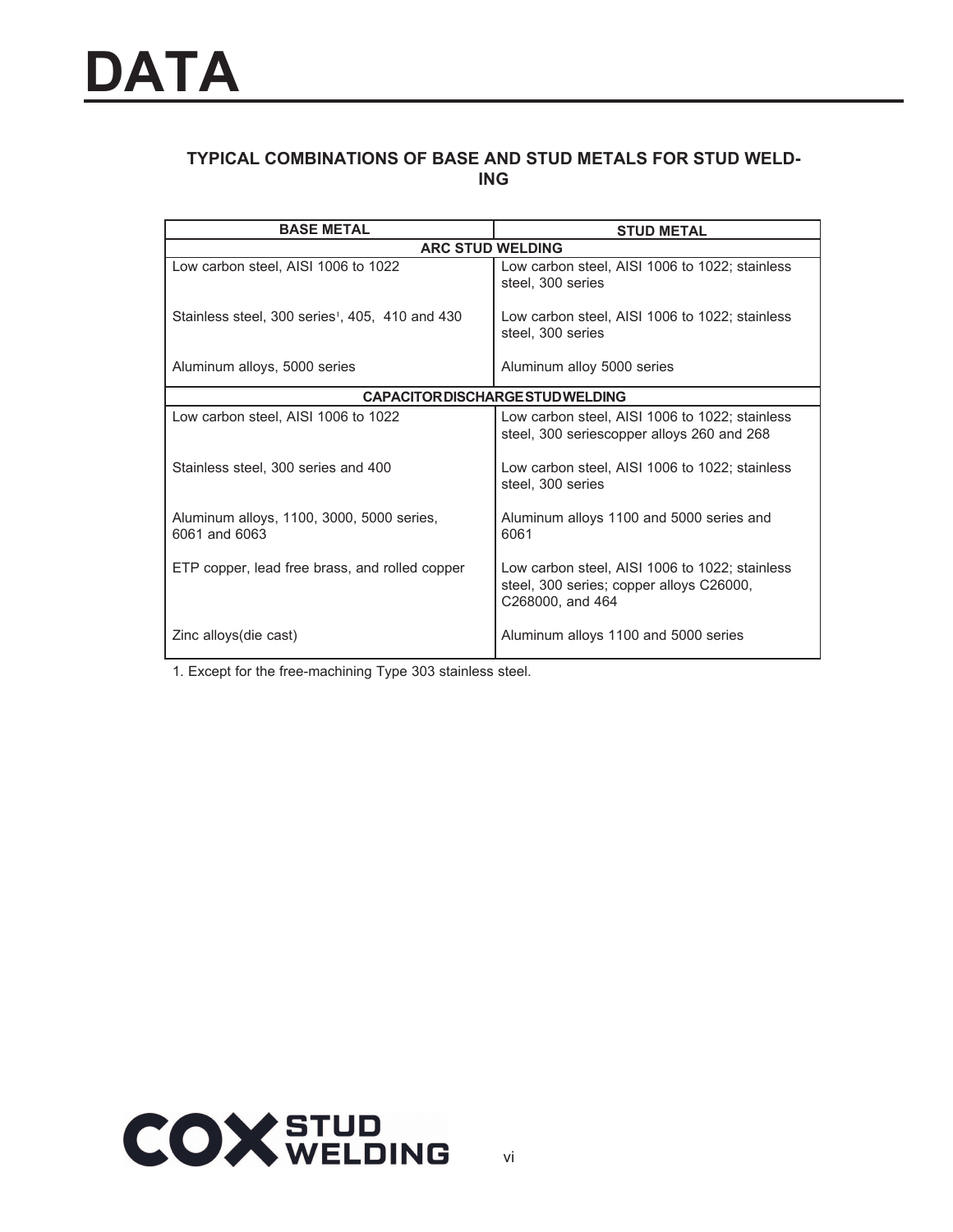### **TYPICAL COMBINATIONS OF BASE AND STUD METALS FOR STUD WELD-ING**

| <b>BASE METAL</b>                                           | <b>STUD METAL</b>                                                                                              |
|-------------------------------------------------------------|----------------------------------------------------------------------------------------------------------------|
| <b>ARC STUD WELDING</b>                                     |                                                                                                                |
| Low carbon steel, AISI 1006 to 1022                         | Low carbon steel, AISI 1006 to 1022; stainless<br>steel, 300 series                                            |
| Stainless steel, 300 series <sup>1</sup> , 405, 410 and 430 | Low carbon steel, AISI 1006 to 1022; stainless<br>steel, 300 series                                            |
| Aluminum alloys, 5000 series                                | Aluminum alloy 5000 series                                                                                     |
|                                                             | <b>CAPACITOR DISCHARGE STUD WELDING</b>                                                                        |
| Low carbon steel, AISI 1006 to 1022                         | Low carbon steel, AISI 1006 to 1022; stainless<br>steel, 300 seriescopper alloys 260 and 268                   |
| Stainless steel, 300 series and 400                         | Low carbon steel, AISI 1006 to 1022; stainless<br>steel, 300 series                                            |
| Aluminum alloys, 1100, 3000, 5000 series,<br>6061 and 6063  | Aluminum alloys 1100 and 5000 series and<br>6061                                                               |
| ETP copper, lead free brass, and rolled copper              | Low carbon steel, AISI 1006 to 1022; stainless<br>steel, 300 series; copper alloys C26000,<br>C268000, and 464 |
| Zinc alloys (die cast)                                      | Aluminum alloys 1100 and 5000 series                                                                           |

1. Except for the free-machining Type 303 stainless steel.

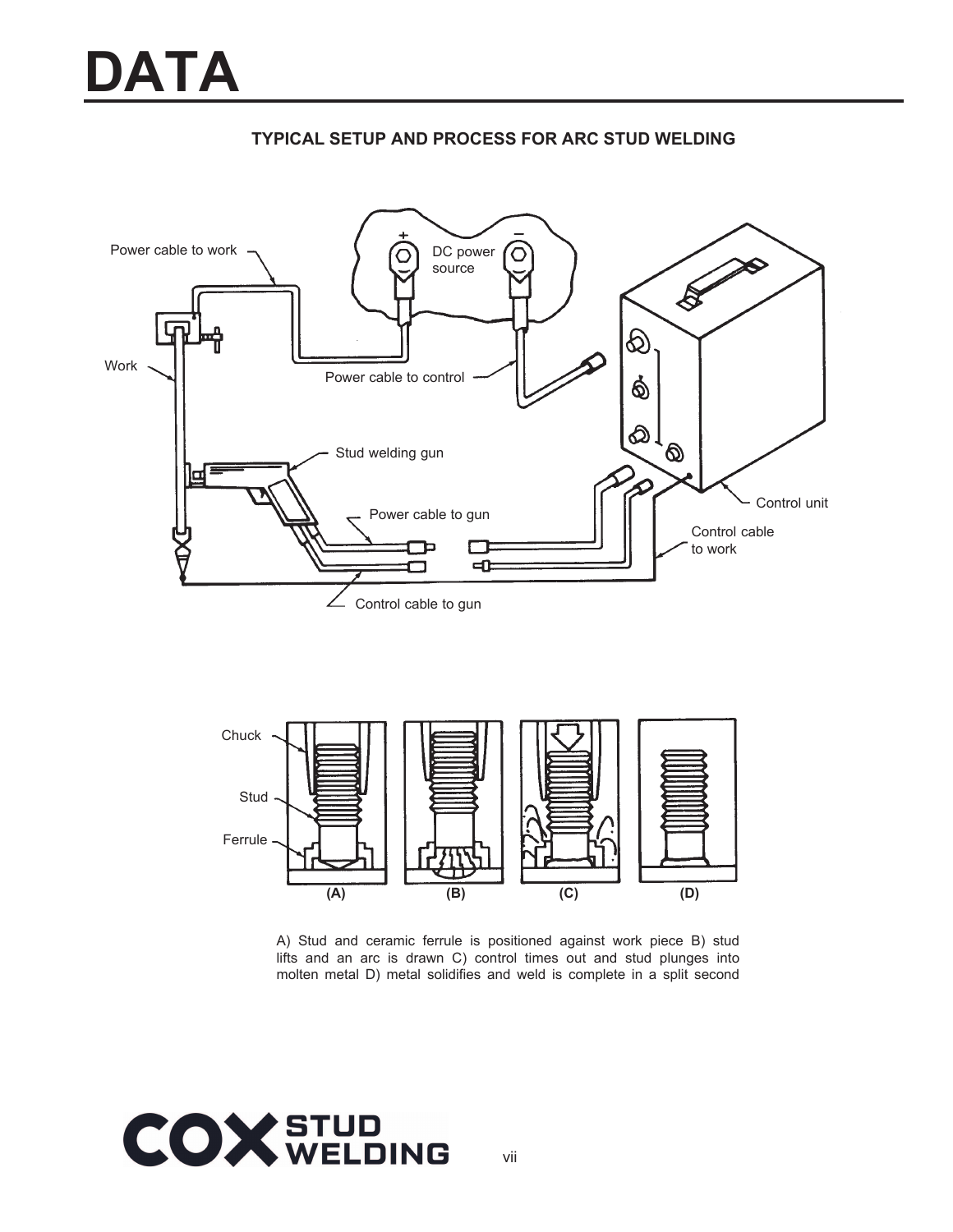





A) Stud and ceramic ferrule is positioned against work piece B) stud lifts and an arc is drawn C) control times out and stud plunges into molten metal D) metal solidifies and weld is complete in a split second

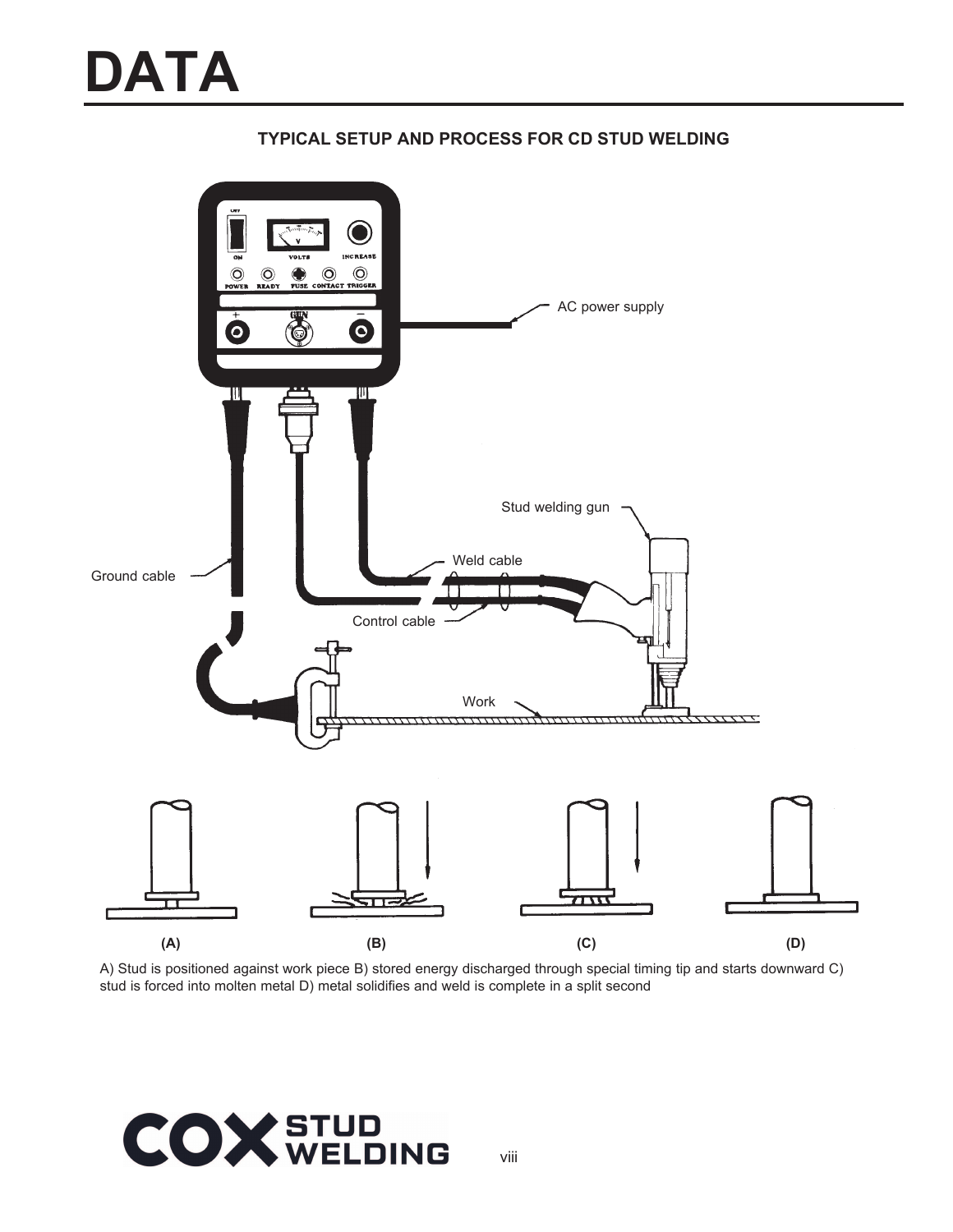

### **TYPICAL SETUP AND PROCESS FOR CD STUD WELDING**

A) Stud is positioned against work piece B) stored energy discharged through special timing tip and starts downward C) stud is forced into molten metal D) metal solidifies and weld is complete in a split second

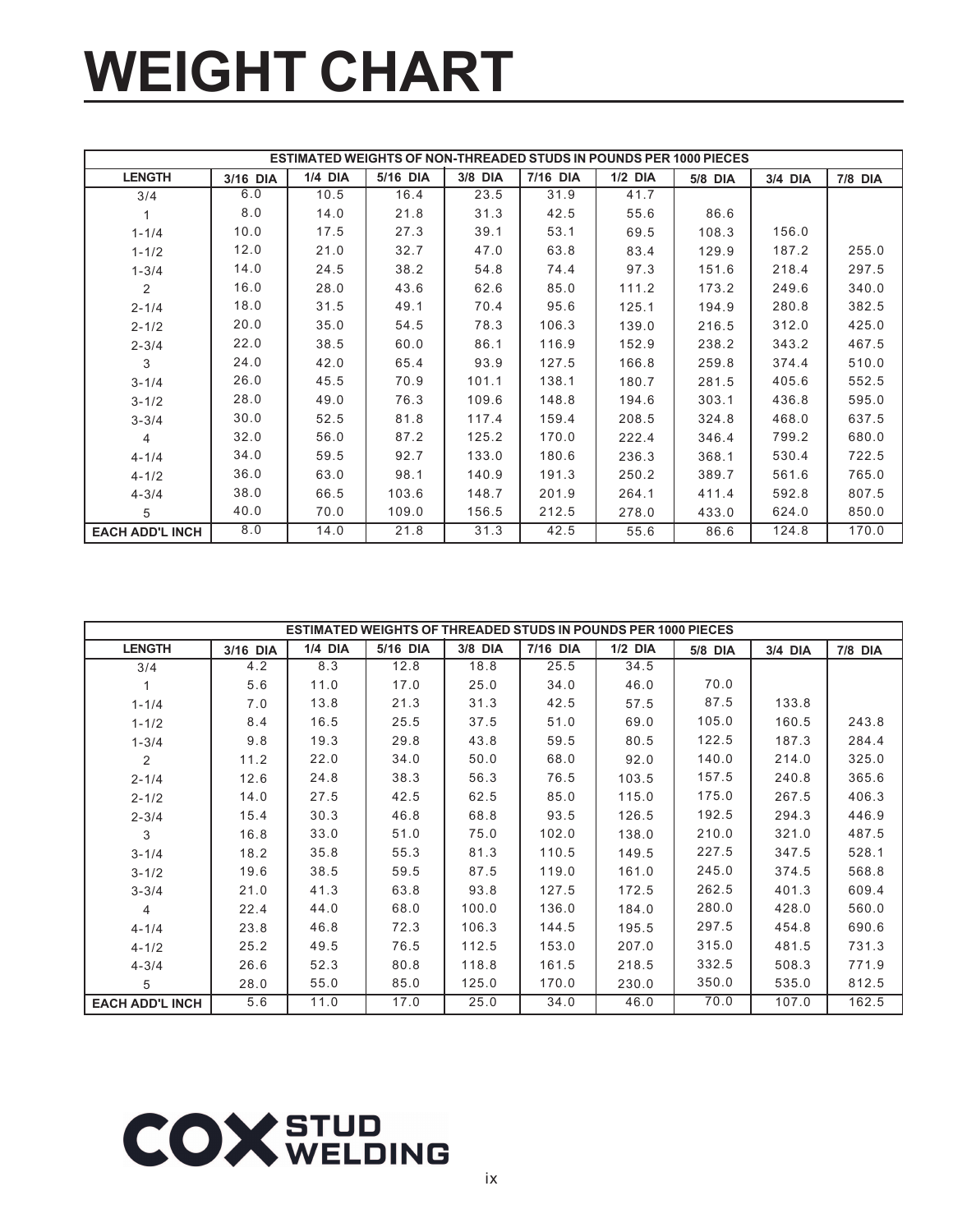# **WEIGHT CHART**

|                        |          |                |          |         |          | <b>ESTIMATED WEIGHTS OF NON-THREADED STUDS IN POUNDS PER 1000 PIECES</b> |         |         |                |
|------------------------|----------|----------------|----------|---------|----------|--------------------------------------------------------------------------|---------|---------|----------------|
| <b>LENGTH</b>          | 3/16 DIA | <b>1/4 DIA</b> | 5/16 DIA | 3/8 DIA | 7/16 DIA | $1/2$ DIA                                                                | 5/8 DIA | 3/4 DIA | <b>7/8 DIA</b> |
| 3/4                    | 6.0      | 10.5           | 16.4     | 23.5    | 31.9     | 41.7                                                                     |         |         |                |
|                        | 8.0      | 14.0           | 21.8     | 31.3    | 42.5     | 55.6                                                                     | 86.6    |         |                |
| $1 - 1/4$              | 10.0     | 17.5           | 27.3     | 39.1    | 53.1     | 69.5                                                                     | 108.3   | 156.0   |                |
| $1 - 1/2$              | 12.0     | 21.0           | 32.7     | 47.0    | 63.8     | 83.4                                                                     | 129.9   | 187.2   | 255.0          |
| $1 - 3/4$              | 14.0     | 24.5           | 38.2     | 54.8    | 74.4     | 97.3                                                                     | 151.6   | 218.4   | 297.5          |
| 2                      | 16.0     | 28.0           | 43.6     | 62.6    | 85.0     | 111.2                                                                    | 173.2   | 249.6   | 340.0          |
| $2 - 1/4$              | 18.0     | 31.5           | 49.1     | 70.4    | 95.6     | 125.1                                                                    | 194.9   | 280.8   | 382.5          |
| $2 - 1/2$              | 20.0     | 35.0           | 54.5     | 78.3    | 106.3    | 139.0                                                                    | 216.5   | 312.0   | 425.0          |
| $2 - 3/4$              | 22.0     | 38.5           | 60.0     | 86.1    | 116.9    | 152.9                                                                    | 238.2   | 343.2   | 467.5          |
| 3                      | 24.0     | 42.0           | 65.4     | 93.9    | 127.5    | 166.8                                                                    | 259.8   | 374.4   | 510.0          |
| $3 - 1/4$              | 26.0     | 45.5           | 70.9     | 101.1   | 138.1    | 180.7                                                                    | 281.5   | 405.6   | 552.5          |
| $3 - 1/2$              | 28.0     | 49.0           | 76.3     | 109.6   | 148.8    | 194.6                                                                    | 303.1   | 436.8   | 595.0          |
| $3 - 3/4$              | 30.0     | 52.5           | 81.8     | 117.4   | 159.4    | 208.5                                                                    | 324.8   | 468.0   | 637.5          |
| $\overline{4}$         | 32.0     | 56.0           | 87.2     | 125.2   | 170.0    | 222.4                                                                    | 346.4   | 799.2   | 680.0          |
| $4 - 1/4$              | 34.0     | 59.5           | 92.7     | 133.0   | 180.6    | 236.3                                                                    | 368.1   | 530.4   | 722.5          |
| $4 - 1/2$              | 36.0     | 63.0           | 98.1     | 140.9   | 191.3    | 250.2                                                                    | 389.7   | 561.6   | 765.0          |
| $4 - 3/4$              | 38.0     | 66.5           | 103.6    | 148.7   | 201.9    | 264.1                                                                    | 411.4   | 592.8   | 807.5          |
| 5                      | 40.0     | 70.0           | 109.0    | 156.5   | 212.5    | 278.0                                                                    | 433.0   | 624.0   | 850.0          |
| <b>EACH ADD'L INCH</b> | 8.0      | 14.0           | 21.8     | 31.3    | 42.5     | 55.6                                                                     | 86.6    | 124.8   | 170.0          |

|                        |          |                |          |         |          | <b>ESTIMATED WEIGHTS OF THREADED STUDS IN POUNDS PER 1000 PIECES</b> |         |         |                |
|------------------------|----------|----------------|----------|---------|----------|----------------------------------------------------------------------|---------|---------|----------------|
| <b>LENGTH</b>          | 3/16 DIA | <b>1/4 DIA</b> | 5/16 DIA | 3/8 DIA | 7/16 DIA | $1/2$ DIA                                                            | 5/8 DIA | 3/4 DIA | <b>7/8 DIA</b> |
| 3/4                    | 4.2      | 8.3            | 12.8     | 18.8    | 25.5     | 34.5                                                                 |         |         |                |
|                        | 5.6      | 11.0           | 17.0     | 25.0    | 34.0     | 46.0                                                                 | 70.0    |         |                |
| $1 - 1/4$              | 7.0      | 13.8           | 21.3     | 31.3    | 42.5     | 57.5                                                                 | 87.5    | 133.8   |                |
| $1 - 1/2$              | 8.4      | 16.5           | 25.5     | 37.5    | 51.0     | 69.0                                                                 | 105.0   | 160.5   | 243.8          |
| $1 - 3/4$              | 9.8      | 19.3           | 29.8     | 43.8    | 59.5     | 80.5                                                                 | 122.5   | 187.3   | 284.4          |
| $\overline{2}$         | 11.2     | 22.0           | 34.0     | 50.0    | 68.0     | 92.0                                                                 | 140.0   | 214.0   | 325.0          |
| $2 - 1/4$              | 12.6     | 24.8           | 38.3     | 56.3    | 76.5     | 103.5                                                                | 157.5   | 240.8   | 365.6          |
| $2 - 1/2$              | 14.0     | 27.5           | 42.5     | 62.5    | 85.0     | 115.0                                                                | 175.0   | 267.5   | 406.3          |
| $2 - 3/4$              | 15.4     | 30.3           | 46.8     | 68.8    | 93.5     | 126.5                                                                | 192.5   | 294.3   | 446.9          |
| 3                      | 16.8     | 33.0           | 51.0     | 75.0    | 102.0    | 138.0                                                                | 210.0   | 321.0   | 487.5          |
| $3 - 1/4$              | 18.2     | 35.8           | 55.3     | 81.3    | 110.5    | 149.5                                                                | 227.5   | 347.5   | 528.1          |
| $3 - 1/2$              | 19.6     | 38.5           | 59.5     | 87.5    | 119.0    | 161.0                                                                | 245.0   | 374.5   | 568.8          |
| $3 - 3/4$              | 21.0     | 41.3           | 63.8     | 93.8    | 127.5    | 172.5                                                                | 262.5   | 401.3   | 609.4          |
| 4                      | 22.4     | 44.0           | 68.0     | 100.0   | 136.0    | 184.0                                                                | 280.0   | 428.0   | 560.0          |
| $4 - 1/4$              | 23.8     | 46.8           | 72.3     | 106.3   | 144.5    | 195.5                                                                | 297.5   | 454.8   | 690.6          |
| $4 - 1/2$              | 25.2     | 49.5           | 76.5     | 112.5   | 153.0    | 207.0                                                                | 315.0   | 481.5   | 731.3          |
| $4 - 3/4$              | 26.6     | 52.3           | 80.8     | 118.8   | 161.5    | 218.5                                                                | 332.5   | 508.3   | 771.9          |
| 5                      | 28.0     | 55.0           | 85.0     | 125.0   | 170.0    | 230.0                                                                | 350.0   | 535.0   | 812.5          |
| <b>EACH ADD'L INCH</b> | 5.6      | 11.0           | 17.0     | 25.0    | 34.0     | 46.0                                                                 | 70.0    | 107.0   | 162.5          |

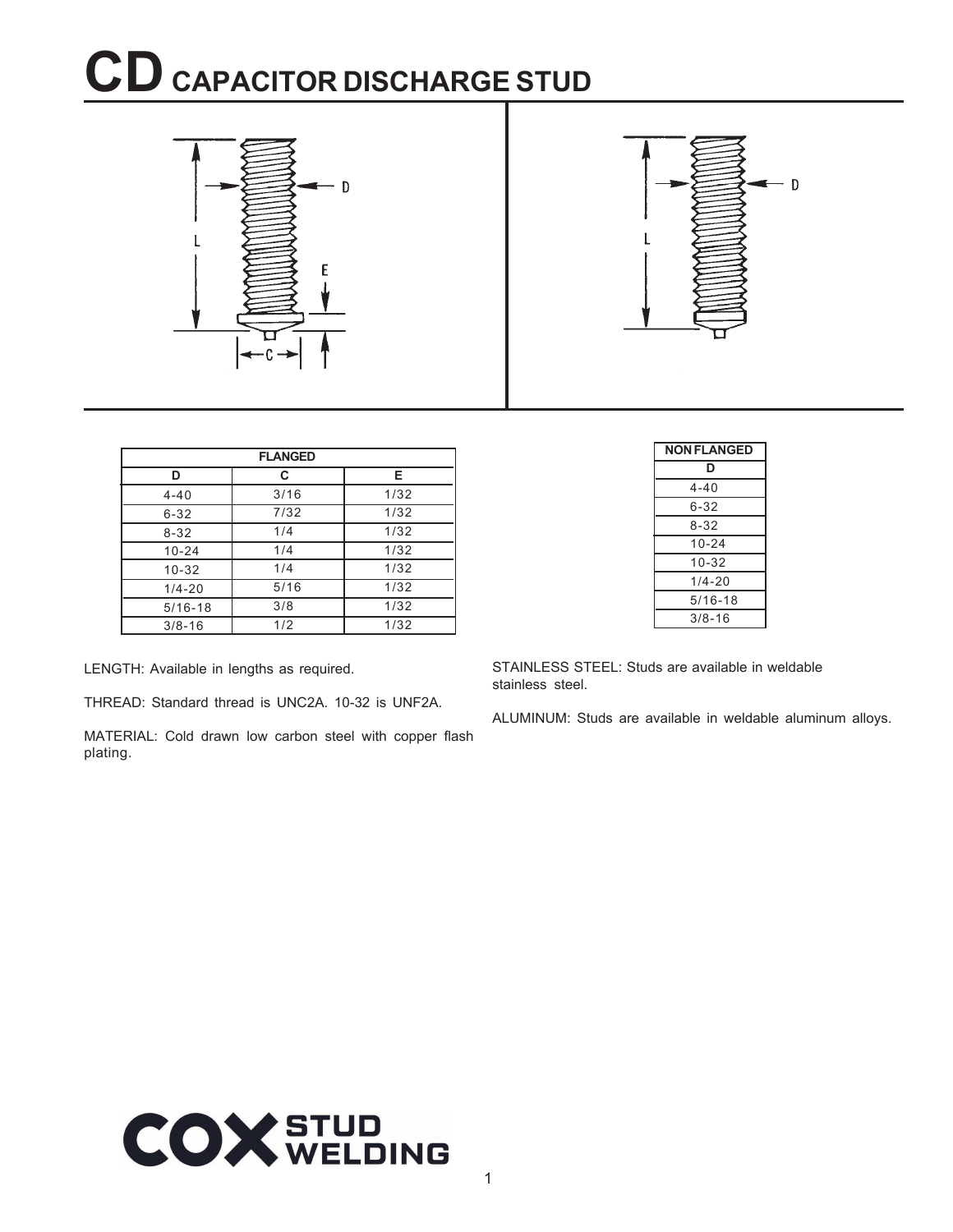### $CD$  CAPACITOR DISCHARGE STUD



|             | <b>FLANGED</b> |      |
|-------------|----------------|------|
| D           | C              | Е    |
| $4 - 40$    | 3/16           | 1/32 |
| $6 - 32$    | 7/32           | 1/32 |
| $8 - 32$    | 1/4            | 1/32 |
| $10 - 24$   | 1/4            | 1/32 |
| $10 - 32$   | 1/4            | 1/32 |
| $1/4 - 20$  | 5/16           | 1/32 |
| $5/16 - 18$ | 3/8            | 1/32 |
| $3/8 - 16$  | 1/2            | 1/32 |

LENGTH: Available in lengths as required.

THREAD: Standard thread is UNC2A. 10-32 is UNF2A.

MATERIAL: Cold drawn low carbon steel with copper flash plating.

| <b>NON FLANGED</b> |
|--------------------|
| D                  |
| 4-40               |
| $6 - 32$           |
| 8-32               |
| $10 - 24$          |
| 10-32              |
| $1/4 - 20$         |
| $5/16 - 18$        |
| $3/8 - 16$         |

STAINLESS STEEL: Studs are available in weldable stainless steel.

ALUMINUM: Studs are available in weldable aluminum alloys.

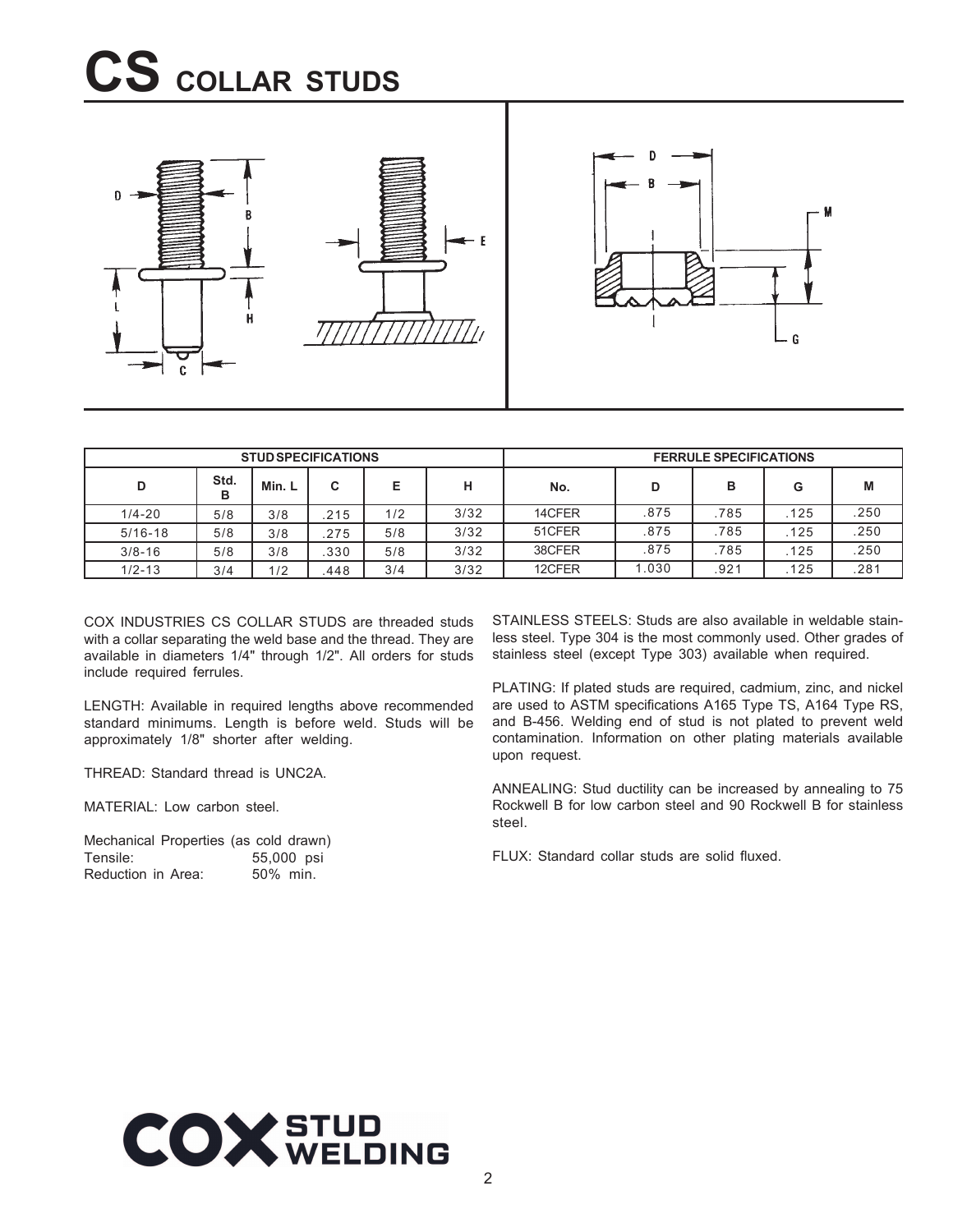### **CS COLLAR STUDS**



|             |           | <b>STUD SPECIFICATIONS</b> |        |     |      | <b>FERRULE SPECIFICATIONS</b> |      |      |      |      |
|-------------|-----------|----------------------------|--------|-----|------|-------------------------------|------|------|------|------|
| D           | Std.<br>в | Min. L                     | $\sim$ | E   | н    | No.                           | D    | в    | G    | M    |
| $1/4 - 20$  | 5/8       | 3/8                        | .215   | 1/2 | 3/32 | 14CFER                        | .875 | .785 | 125  | .250 |
| $5/16 - 18$ | 5/8       | 3/8                        | .275   | 5/8 | 3/32 | 51CFER                        | .875 | .785 | 125  | .250 |
| $3/8 - 16$  | 5/8       | 3/8                        | .330   | 5/8 | 3/32 | 38CFER                        | .875 | .785 | .125 | .250 |
| $1/2 - 13$  | 3/4       | 1/2                        | .448   | 3/4 | 3/32 | 12CFER                        | .030 | .921 | 125  | .281 |

COX INDUSTRIES CS COLLAR STUDS are threaded studs with a collar separating the weld base and the thread. They are available in diameters 1/4" through 1/2". All orders for studs include required ferrules.

LENGTH: Available in required lengths above recommended standard minimums. Length is before weld. Studs will be approximately 1/8" shorter after welding.

THREAD: Standard thread is UNC2A.

MATERIAL: Low carbon steel.

Mechanical Properties (as cold drawn)<br>Tensile: 55,000 psi 55,000 psi Reduction in Area: 50% min.

STAINLESS STEELS: Studs are also available in weldable stainless steel. Type 304 is the most commonly used. Other grades of stainless steel (except Type 303) available when required.

PLATING: If plated studs are required, cadmium, zinc, and nickel are used to ASTM specifications A165 Type TS, A164 Type RS, and B-456. Welding end of stud is not plated to prevent weld contamination. Information on other plating materials available upon request.

ANNEALING: Stud ductility can be increased by annealing to 75 Rockwell B for low carbon steel and 90 Rockwell B for stainless steel.

FLUX: Standard collar studs are solid fluxed.

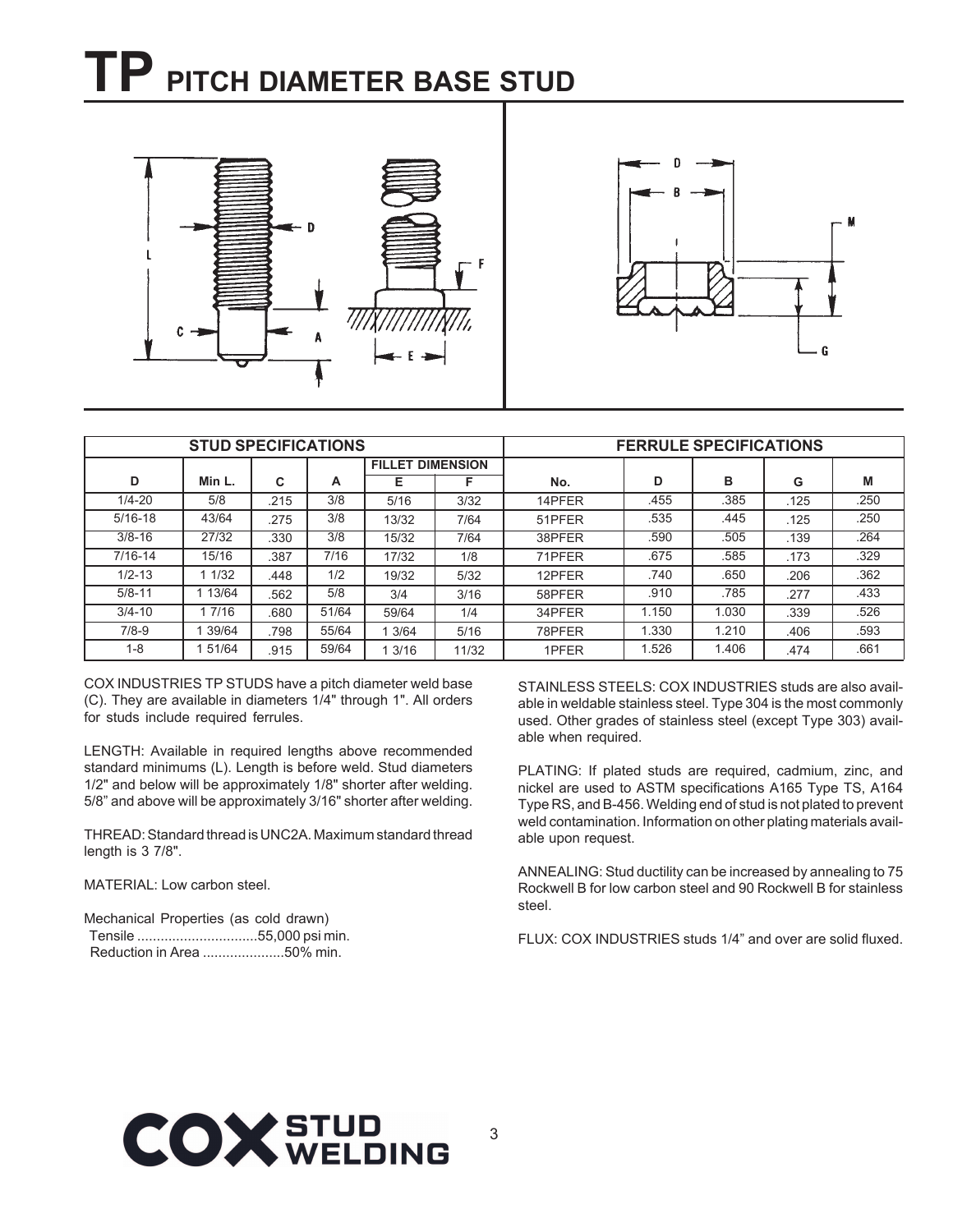### **TP PITCH DIAMETER BASE STUD**



|             | <b>STUD SPECIFICATIONS</b><br><b>FERRULE SPECIFICATIONS</b> |      |       |                         |       |        |       |       |      |      |
|-------------|-------------------------------------------------------------|------|-------|-------------------------|-------|--------|-------|-------|------|------|
|             |                                                             |      |       | <b>FILLET DIMENSION</b> |       |        |       |       |      |      |
| D           | Min L.                                                      | C    | A     | Е                       | F     | No.    | D     | в     | G    | M    |
| $1/4 - 20$  | 5/8                                                         | 215  | 3/8   | 5/16                    | 3/32  | 14PFER | .455  | .385  | .125 | .250 |
| $5/16 - 18$ | 43/64                                                       | 275  | 3/8   | 13/32                   | 7/64  | 51PFER | .535  | .445  | .125 | .250 |
| $3/8 - 16$  | 27/32                                                       | .330 | 3/8   | 15/32                   | 7/64  | 38PFER | .590  | .505  | .139 | .264 |
| $7/16 - 14$ | 15/16                                                       | .387 | 7/16  | 17/32                   | 1/8   | 71PFER | .675  | .585  | .173 | .329 |
| $1/2 - 13$  | 1 1/32                                                      | .448 | 1/2   | 19/32                   | 5/32  | 12PFER | .740  | .650  | .206 | .362 |
| $5/8 - 11$  | 13/64                                                       | .562 | 5/8   | 3/4                     | 3/16  | 58PFER | .910  | .785  | .277 | .433 |
| $3/4 - 10$  | 1 7/16                                                      | .680 | 51/64 | 59/64                   | 1/4   | 34PFER | 1.150 | 1.030 | .339 | .526 |
| $7/8-9$     | 39/64                                                       | 798  | 55/64 | 13/64                   | 5/16  | 78PFER | 1.330 | 1.210 | .406 | .593 |
| $1 - 8$     | 51/64                                                       | .915 | 59/64 | 13/16                   | 11/32 | 1PFER  | 1.526 | 1.406 | .474 | .661 |

COX INDUSTRIES TP STUDS have a pitch diameter weld base (C). They are available in diameters 1/4" through 1". All orders for studs include required ferrules.

LENGTH: Available in required lengths above recommended standard minimums (L). Length is before weld. Stud diameters 1/2" and below will be approximately 1/8" shorter after welding. 5/8" and above will be approximately 3/16" shorter after welding.

THREAD: Standard thread is UNC2A. Maximum standard thread length is 3 7/8".

MATERIAL: Low carbon steel.

Mechanical Properties (as cold drawn) Tensile ...............................55,000 psi min. Reduction in Area .....................50% min.

STAINLESS STEELS: COX INDUSTRIES studs are also available in weldable stainless steel. Type 304 is the most commonly used. Other grades of stainless steel (except Type 303) available when required.

PLATING: If plated studs are required, cadmium, zinc, and nickel are used to ASTM specifications A165 Type TS, A164 Type RS, and B-456. Welding end of stud is not plated to prevent weld contamination. Information on other plating materials available upon request.

ANNEALING: Stud ductility can be increased by annealing to 75 Rockwell B for low carbon steel and 90 Rockwell B for stainless steel.

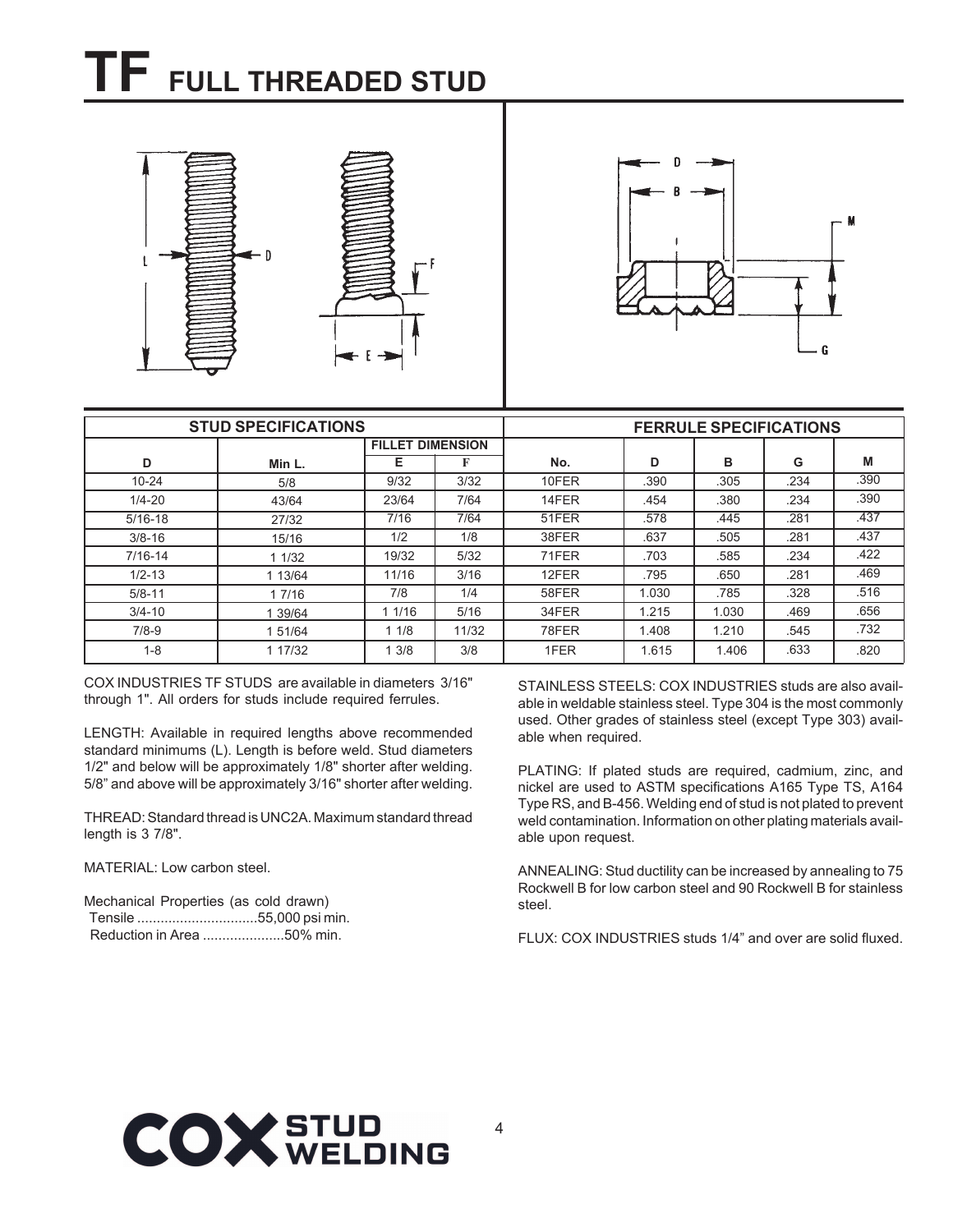### **TF FULL THREADED STUD**







|             | <b>STUD SPECIFICATIONS</b> |                         |       | <b>FERRULE SPECIFICATIONS</b> |       |       |      |      |  |
|-------------|----------------------------|-------------------------|-------|-------------------------------|-------|-------|------|------|--|
|             |                            | <b>FILLET DIMENSION</b> |       |                               |       |       |      |      |  |
| D           | Min L.                     | Е                       |       | No.                           | D     | в     | G    | M    |  |
| $10 - 24$   | 5/8                        | 9/32                    | 3/32  | 10FER                         | .390  | .305  | .234 | .390 |  |
| $1/4 - 20$  | 43/64                      | 23/64                   | 7/64  | 14FER                         | .454  | .380  | .234 | .390 |  |
| $5/16 - 18$ | 27/32                      | 7/16                    | 7/64  | 51FER                         | .578  | .445  | .281 | .437 |  |
| $3/8 - 16$  | 15/16                      | 1/2                     | 1/8   | 38FER                         | .637  | .505  | .281 | .437 |  |
| $7/16 - 14$ | 11/32                      | 19/32                   | 5/32  | 71FER                         | .703  | .585  | .234 | .422 |  |
| $1/2 - 13$  | 1 13/64                    | 11/16                   | 3/16  | 12FER                         | .795  | .650  | .281 | .469 |  |
| $5/8 - 11$  | 1 7/16                     | 7/8                     | 1/4   | 58FER                         | 1.030 | .785  | .328 | .516 |  |
| $3/4 - 10$  | 39/64                      | 1/16                    | 5/16  | 34FER                         | 1.215 | 1.030 | .469 | .656 |  |
| $7/8-9$     | 1 51/64                    | 11/8                    | 11/32 | 78FER                         | 1.408 | 1.210 | .545 | .732 |  |
| $1 - 8$     | 1 17/32                    | 1.3/8                   | 3/8   | 1FER                          | 1.615 | 1.406 | .633 | .820 |  |

COX INDUSTRIES TF STUDS are available in diameters 3/16" through 1". All orders for studs include required ferrules.

LENGTH: Available in required lengths above recommended standard minimums (L). Length is before weld. Stud diameters 1/2" and below will be approximately 1/8" shorter after welding. 5/8" and above will be approximately 3/16" shorter after welding.

THREAD: Standard thread is UNC2A. Maximum standard thread length is 3 7/8".

### MATERIAL: Low carbon steel.

Mechanical Properties (as cold drawn) Tensile ...............................55,000 psi min. Reduction in Area .....................50% min.

STAINLESS STEELS: COX INDUSTRIES studs are also available in weldable stainless steel. Type 304 is the most commonly used. Other grades of stainless steel (except Type 303) available when required.

PLATING: If plated studs are required, cadmium, zinc, and nickel are used to ASTM specifications A165 Type TS, A164 Type RS, and B-456. Welding end of stud is not plated to prevent weld contamination. Information on other plating materials available upon request.

ANNEALING: Stud ductility can be increased by annealing to 75 Rockwell B for low carbon steel and 90 Rockwell B for stainless steel.

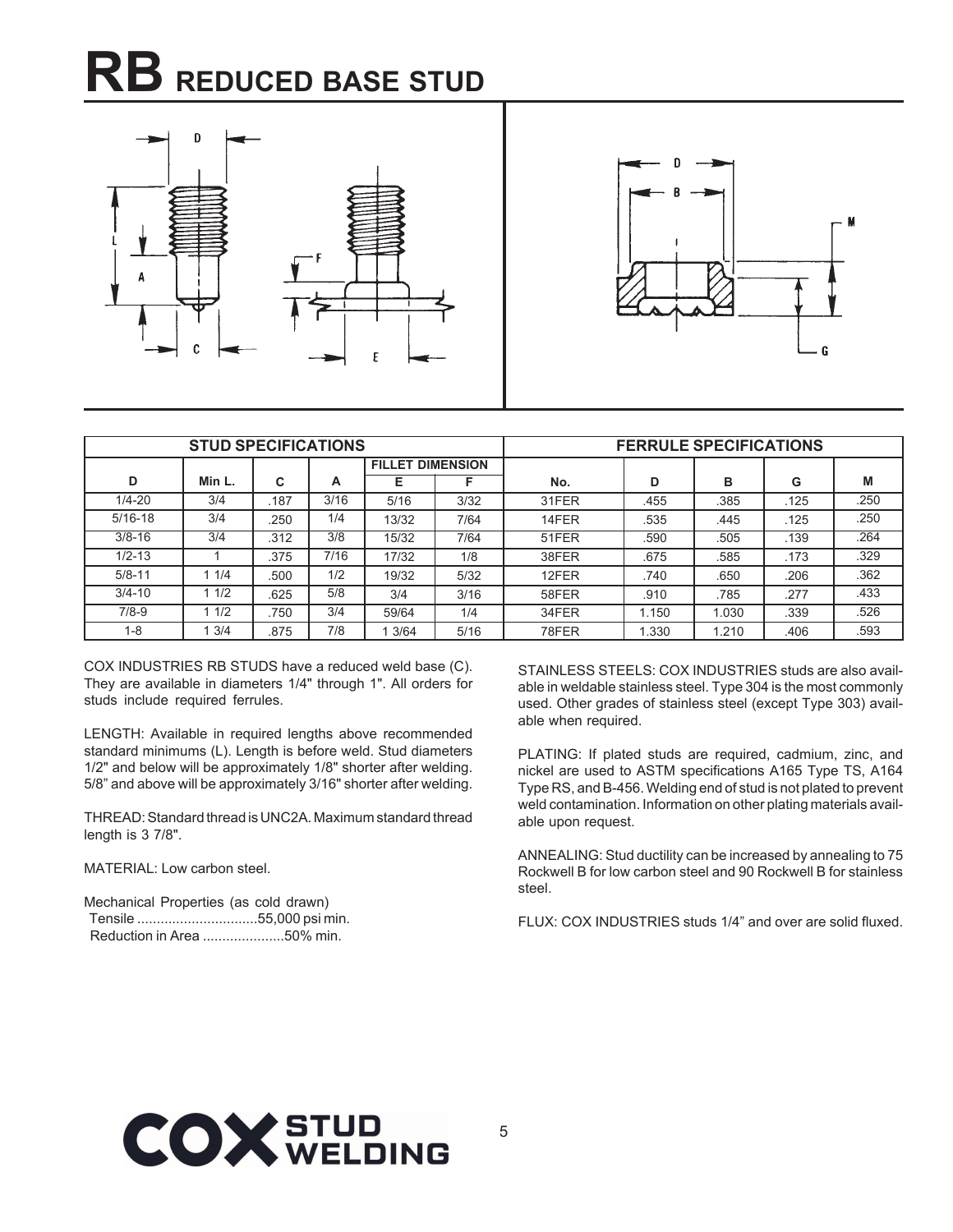### **RB REDUCED BASE STUD**





|             | <b>STUD SPECIFICATIONS</b> |      |      |                         |      | <b>FERRULE SPECIFICATIONS</b> |       |       |      |      |  |
|-------------|----------------------------|------|------|-------------------------|------|-------------------------------|-------|-------|------|------|--|
|             |                            |      |      | <b>FILLET DIMENSION</b> |      |                               |       |       |      |      |  |
| D           | Min L.                     | C    | A    | Е                       | F    | No.                           | D     | в     | G    | M    |  |
| $1/4 - 20$  | 3/4                        | .187 | 3/16 | 5/16                    | 3/32 | 31FER                         | .455  | .385  | .125 | .250 |  |
| $5/16 - 18$ | 3/4                        | .250 | 1/4  | 13/32                   | 7/64 | 14FER                         | .535  | .445  | .125 | .250 |  |
| $3/8 - 16$  | 3/4                        | .312 | 3/8  | 15/32                   | 7/64 | 51FER                         | .590  | .505  | .139 | .264 |  |
| $1/2 - 13$  |                            | .375 | 7/16 | 17/32                   | 1/8  | 38FER                         | .675  | .585  | .173 | .329 |  |
| $5/8 - 11$  | 11/4                       | .500 | 1/2  | 19/32                   | 5/32 | 12FER                         | .740  | .650  | .206 | .362 |  |
| $3/4 - 10$  | 11/2                       | .625 | 5/8  | 3/4                     | 3/16 | 58FER                         | .910  | .785  | .277 | .433 |  |
| $7/8-9$     | 11/2                       | 750  | 3/4  | 59/64                   | 1/4  | 34FER                         | 1.150 | 1.030 | .339 | .526 |  |
| $1 - 8$     | 3/4                        | .875 | 7/8  | 3/64                    | 5/16 | 78FER                         | 1.330 | 1.210 | .406 | .593 |  |

COX INDUSTRIES RB STUDS have a reduced weld base (C). They are available in diameters 1/4" through 1". All orders for studs include required ferrules.

LENGTH: Available in required lengths above recommended standard minimums (L). Length is before weld. Stud diameters 1/2" and below will be approximately 1/8" shorter after welding. 5/8" and above will be approximately 3/16" shorter after welding.

THREAD: Standard thread is UNC2A. Maximum standard thread length is 3 7/8".

### MATERIAL: Low carbon steel.

Mechanical Properties (as cold drawn) Tensile ...............................55,000 psi min. Reduction in Area .....................50% min.

STAINLESS STEELS: COX INDUSTRIES studs are also available in weldable stainless steel. Type 304 is the most commonly used. Other grades of stainless steel (except Type 303) available when required.

PLATING: If plated studs are required, cadmium, zinc, and nickel are used to ASTM specifications A165 Type TS, A164 Type RS, and B-456. Welding end of stud is not plated to prevent weld contamination. Information on other plating materials available upon request.

ANNEALING: Stud ductility can be increased by annealing to 75 Rockwell B for low carbon steel and 90 Rockwell B for stainless steel.

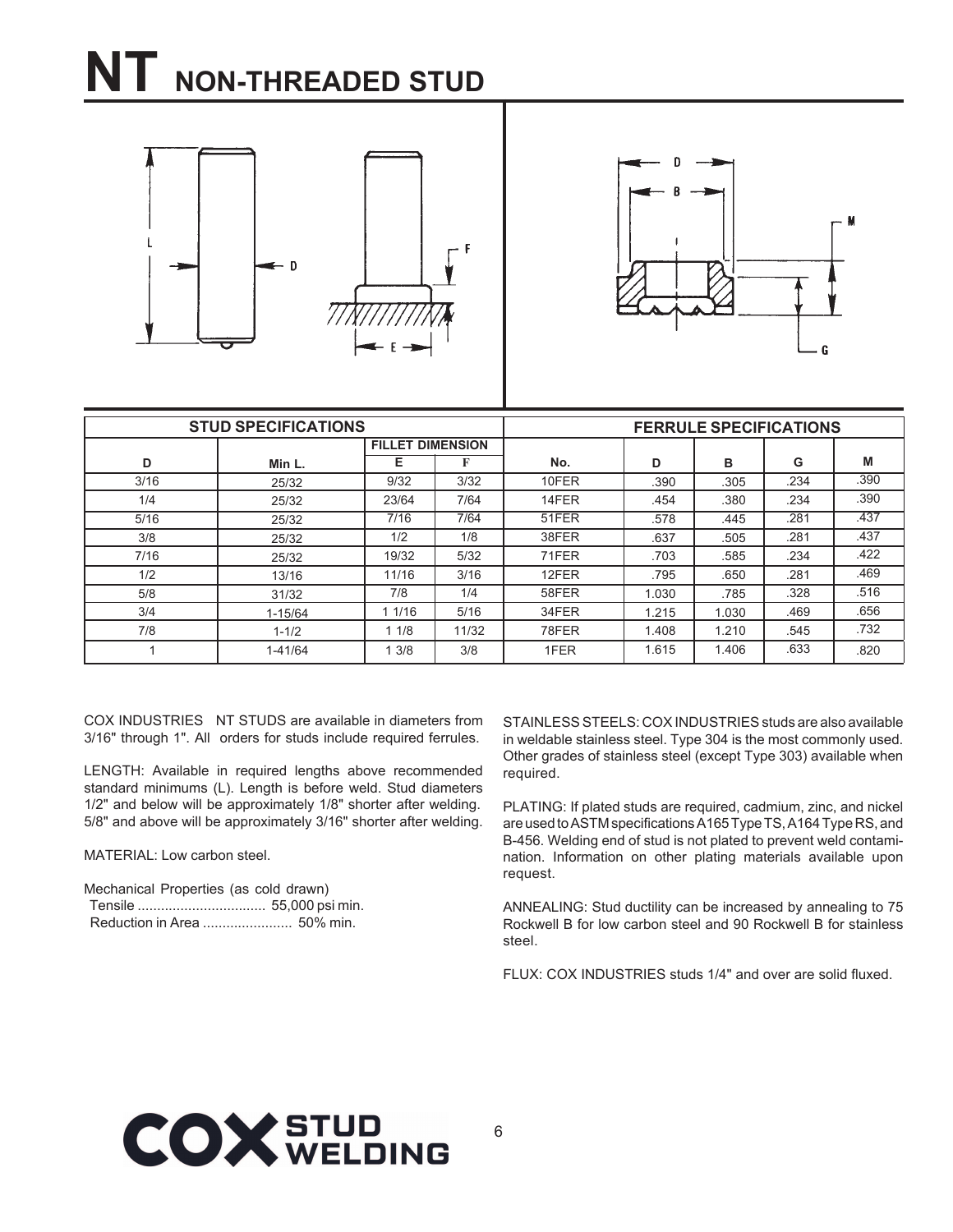### **NT NON-THREADED STUD**





|      | <b>STUD SPECIFICATIONS</b> |                         |       |       |       | <b>FERRULE SPECIFICATIONS</b> |      |      |
|------|----------------------------|-------------------------|-------|-------|-------|-------------------------------|------|------|
|      |                            | <b>FILLET DIMENSION</b> |       |       |       |                               |      |      |
| D    | Min L.                     | Е                       | F     | No.   | D     | в                             | G    | M    |
| 3/16 | 25/32                      | 9/32                    | 3/32  | 10FER | .390  | .305                          | .234 | .390 |
| 1/4  | 25/32                      | 23/64                   | 7/64  | 14FER | .454  | .380                          | .234 | .390 |
| 5/16 | 25/32                      | 7/16                    | 7/64  | 51FER | .578  | .445                          | .281 | .437 |
| 3/8  | 25/32                      | 1/2                     | 1/8   | 38FER | .637  | .505                          | .281 | .437 |
| 7/16 | 25/32                      | 19/32                   | 5/32  | 71FER | .703  | .585                          | .234 | .422 |
| 1/2  | 13/16                      | 11/16                   | 3/16  | 12FER | .795  | .650                          | .281 | .469 |
| 5/8  | 31/32                      | 7/8                     | 1/4   | 58FER | 1.030 | .785                          | .328 | .516 |
| 3/4  | $1 - 15/64$                | 1 1/16                  | 5/16  | 34FER | 1.215 | 1.030                         | .469 | .656 |
| 7/8  | $1 - 1/2$                  | 11/8                    | 11/32 | 78FER | 1.408 | 1.210                         | .545 | .732 |
|      | $1 - 41/64$                | 3/8                     | 3/8   | 1FER  | 1.615 | 1.406                         | .633 | .820 |

COX INDUSTRIES NT STUDS are available in diameters from 3/16" through 1". All orders for studs include required ferrules.

LENGTH: Available in required lengths above recommended standard minimums (L). Length is before weld. Stud diameters 1/2" and below will be approximately 1/8" shorter after welding. 5/8" and above will be approximately 3/16" shorter after welding.

MATERIAL: Low carbon steel.

Mechanical Properties (as cold drawn) Tensile ................................. 55,000 psi min. Reduction in Area ....................... 50% min.

STAINLESS STEELS: COX INDUSTRIES studs are also available in weldable stainless steel. Type 304 is the most commonly used. Other grades of stainless steel (except Type 303) available when required.

PLATING: If plated studs are required, cadmium, zinc, and nickel are used to ASTM specifications A165 Type TS, A164 Type RS, and B-456. Welding end of stud is not plated to prevent weld contamination. Information on other plating materials available upon request.

ANNEALING: Stud ductility can be increased by annealing to 75 Rockwell B for low carbon steel and 90 Rockwell B for stainless steel.

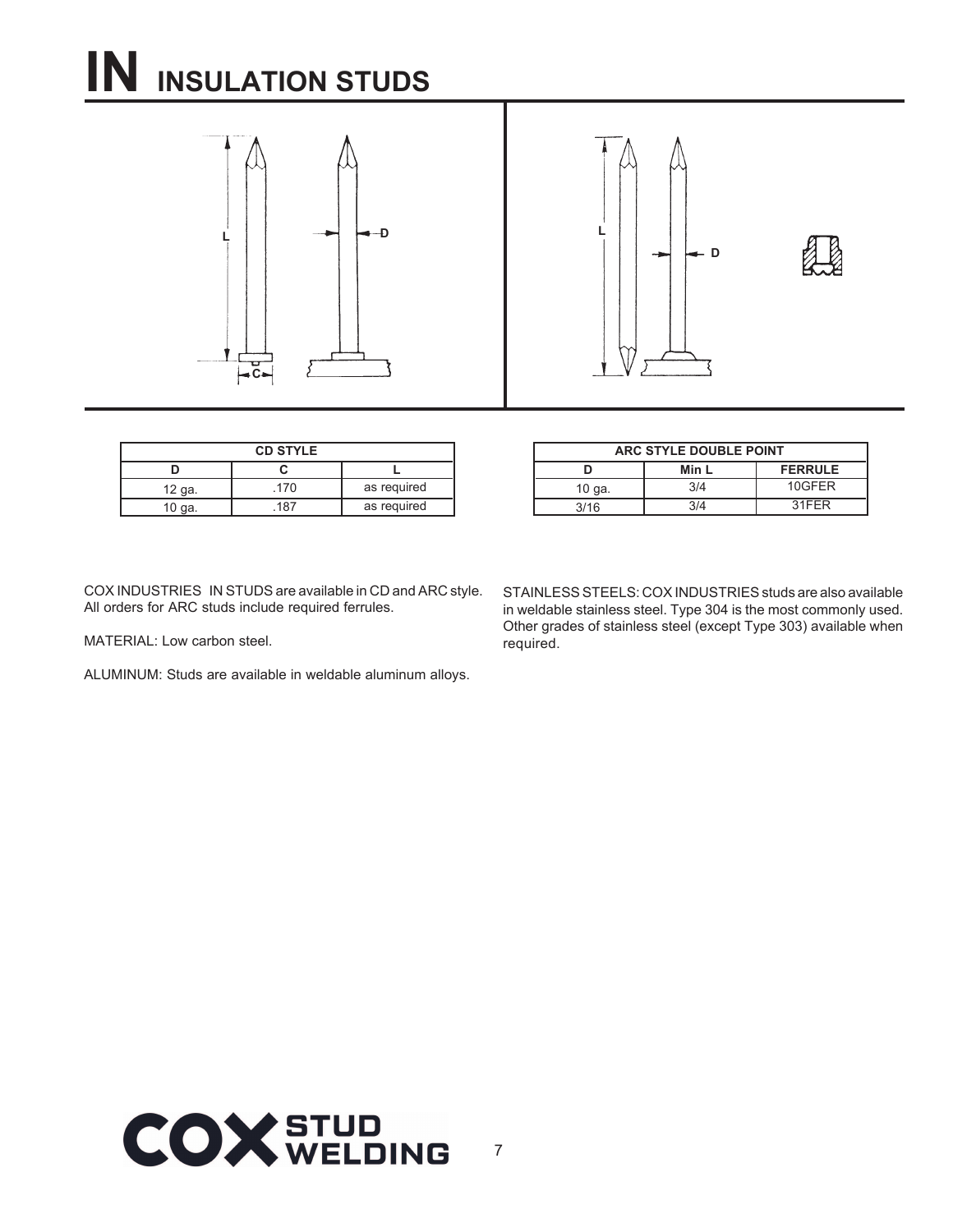### **IN INSULATION STUDS**





| <b>CD STYLE</b> |      |             |  |  |
|-----------------|------|-------------|--|--|
|                 |      |             |  |  |
| 12 ga.          | .170 | as required |  |  |
| 10 ga.          | 187  | as required |  |  |

| ARC STYLE DOUBLE POINT |       |                |  |  |  |  |
|------------------------|-------|----------------|--|--|--|--|
|                        | Min L | <b>FERRULE</b> |  |  |  |  |
| 10 ga.                 | 3/4   | 10GFFR         |  |  |  |  |
| 3/16                   | 3/4   | 31FFR          |  |  |  |  |

COX INDUSTRIES IN STUDS are available in CD and ARC style. All orders for ARC studs include required ferrules.

MATERIAL: Low carbon steel.

ALUMINUM: Studs are available in weldable aluminum alloys.

STAINLESS STEELS: COX INDUSTRIES studs are also available in weldable stainless steel. Type 304 is the most commonly used. Other grades of stainless steel (except Type 303) available when required.

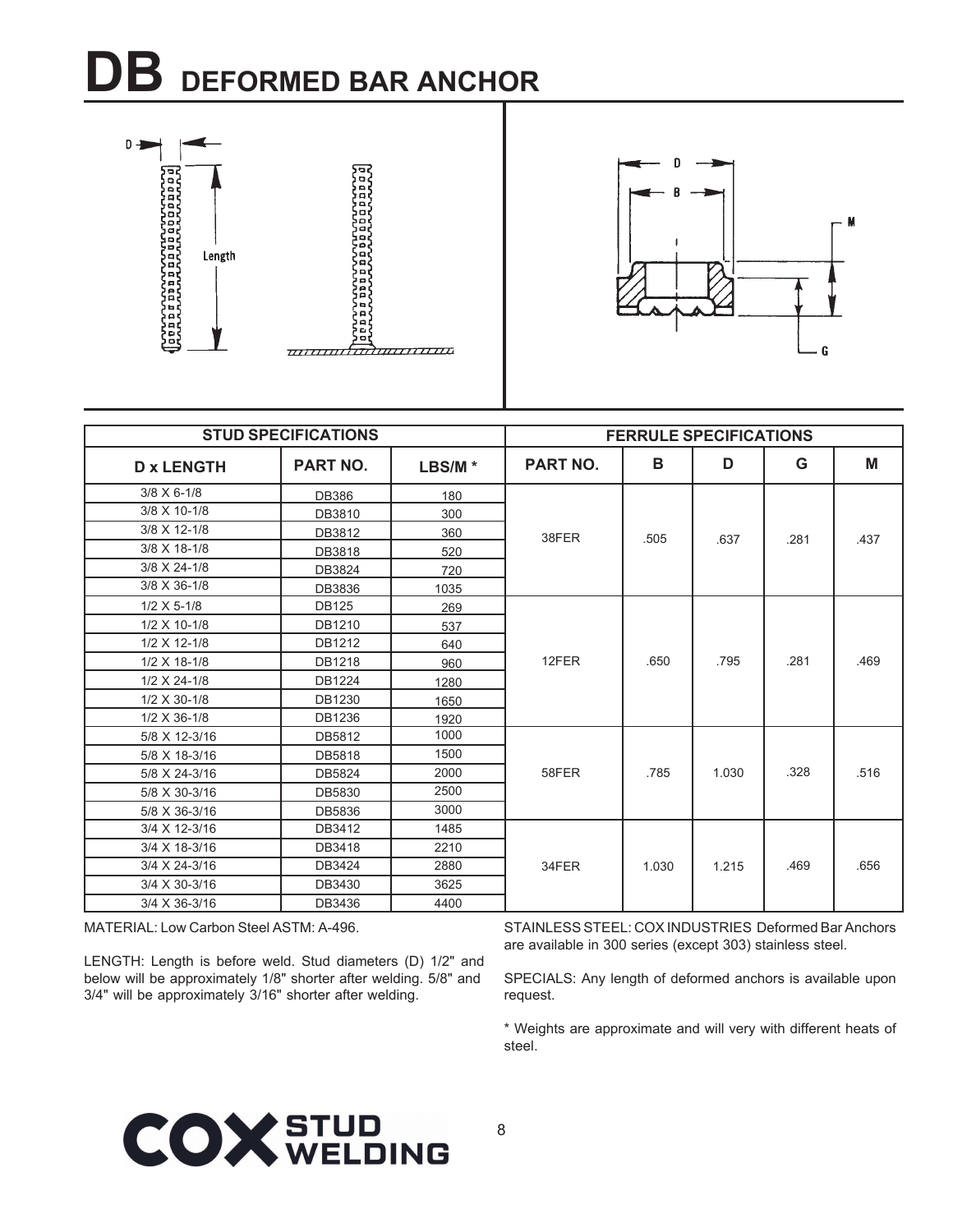### **DB DEFORMED BAR ANCHOR**





|                       | <b>STUD SPECIFICATIONS</b> |           |                 | <b>FERRULE SPECIFICATIONS</b> |       |      |      |
|-----------------------|----------------------------|-----------|-----------------|-------------------------------|-------|------|------|
| <b>D</b> x LENGTH     | <b>PART NO.</b>            | $LBS/M$ * | <b>PART NO.</b> | в                             | D     | G    | M    |
| $3/8 \times 6 - 1/8$  | <b>DB386</b>               | 180       |                 |                               |       |      |      |
| 3/8 X 10-1/8          | DB3810                     | 300       |                 |                               |       |      |      |
| 3/8 X 12-1/8          | DB3812                     | 360       | 38FER           | .505                          | .637  | .281 | .437 |
| 3/8 X 18-1/8          | DB3818                     | 520       |                 |                               |       |      |      |
| 3/8 X 24-1/8          | DB3824                     | 720       |                 |                               |       |      |      |
| 3/8 X 36-1/8          | DB3836                     | 1035      |                 |                               |       |      |      |
| $1/2$ X 5-1/8         | <b>DB125</b>               | 269       |                 |                               |       |      |      |
| 1/2 X 10-1/8          | DB1210                     | 537       |                 |                               |       |      |      |
| 1/2 X 12-1/8          | DB1212                     | 640       |                 |                               |       |      |      |
| $1/2$ X 18-1/8        | DB1218                     | 960       | 12FER           | .650                          | .795  | .281 | .469 |
| $1/2 \times 24 - 1/8$ | DB1224                     | 1280      |                 |                               |       |      |      |
| $1/2 \times 30 - 1/8$ | DB1230                     | 1650      |                 |                               |       |      |      |
| $1/2$ X 36-1/8        | DB1236                     | 1920      |                 |                               |       |      |      |
| 5/8 X 12-3/16         | DB5812                     | 1000      |                 |                               |       |      |      |
| 5/8 X 18-3/16         | DB5818                     | 1500      |                 |                               |       |      |      |
| 5/8 X 24-3/16         | DB5824                     | 2000      | 58FER           | .785                          | 1.030 | .328 | .516 |
| 5/8 X 30-3/16         | DB5830                     | 2500      |                 |                               |       |      |      |
| 5/8 X 36-3/16         | DB5836                     | 3000      |                 |                               |       |      |      |
| 3/4 X 12-3/16         | DB3412                     | 1485      |                 |                               |       |      |      |
| 3/4 X 18-3/16         | DB3418                     | 2210      |                 |                               |       |      |      |
| 3/4 X 24-3/16         | DB3424                     | 2880      | 34FER           | 1.030                         | 1.215 | .469 | .656 |
| 3/4 X 30-3/16         | DB3430                     | 3625      |                 |                               |       |      |      |
| 3/4 X 36-3/16         | DB3436                     | 4400      |                 |                               |       |      |      |

MATERIAL: Low Carbon Steel ASTM: A-496.

LENGTH: Length is before weld. Stud diameters (D) 1/2" and below will be approximately 1/8" shorter after welding. 5/8" and 3/4" will be approximately 3/16" shorter after welding.

STAINLESS STEEL: COX INDUSTRIES Deformed Bar Anchors are available in 300 series (except 303) stainless steel.

SPECIALS: Any length of deformed anchors is available upon request.

\* Weights are approximate and will very with different heats of steel.

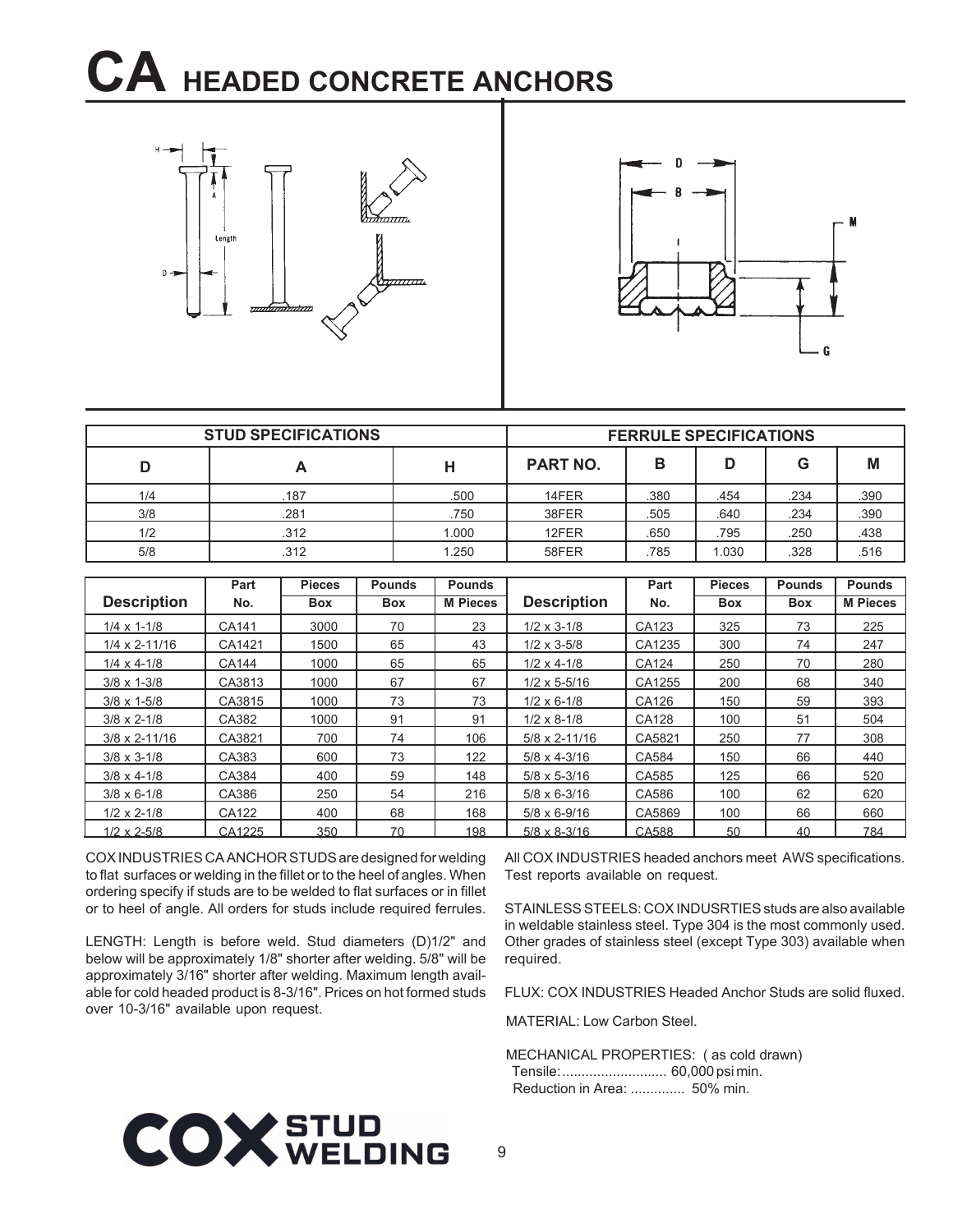### **CA HEADED CONCRETE ANCHORS**





|     | <b>STUD SPECIFICATIONS</b> |       |                 | <b>FERRULE SPECIFICATIONS</b> |       |      |      |
|-----|----------------------------|-------|-----------------|-------------------------------|-------|------|------|
|     |                            | н     | <b>PART NO.</b> | в                             | D     | G    | M    |
| 1/4 | .187                       | .500  | 14FER           | .380                          | .454  | .234 | .390 |
| 3/8 | .281                       | .750  | 38FER           | .505                          | .640  | .234 | .390 |
| 1/2 | .312                       | 1.000 | 12FER           | .650                          | .795  | .250 | .438 |
| 5/8 | .312                       | 1.250 | 58FER           | .785                          | 1.030 | 328  | .516 |

|                        | Part         | <b>Pieces</b> | <b>Pounds</b> | <b>Pounds</b>   |                        | Part   | <b>Pieces</b> | <b>Pounds</b> | <b>Pounds</b>   |
|------------------------|--------------|---------------|---------------|-----------------|------------------------|--------|---------------|---------------|-----------------|
| <b>Description</b>     | No.          | <b>Box</b>    | <b>Box</b>    | <b>M</b> Pieces | <b>Description</b>     | No.    | <b>Box</b>    | <b>Box</b>    | <b>M Pieces</b> |
| $1/4 \times 1 - 1/8$   | CA141        | 3000          | 70            | 23              | $1/2 \times 3 - 1/8$   | CA123  | 325           | 73            | 225             |
| $1/4 \times 2 - 11/16$ | CA1421       | 1500          | 65            | 43              | $1/2 \times 3 - 5/8$   | CA1235 | 300           | 74            | 247             |
| $1/4 \times 4 - 1/8$   | <b>CA144</b> | 1000          | 65            | 65              | $1/2 \times 4 - 1/8$   | CA124  | 250           | 70            | 280             |
| $3/8 \times 1 - 3/8$   | CA3813       | 1000          | 67            | 67              | $1/2 \times 5 - 5/16$  | CA1255 | 200           | 68            | 340             |
| $3/8 \times 1 - 5/8$   | CA3815       | 1000          | 73            | 73              | $1/2 \times 6 - 1/8$   | CA126  | 150           | 59            | 393             |
| $3/8 \times 2 - 1/8$   | CA382        | 1000          | 91            | 91              | $1/2 \times 8 - 1/8$   | CA128  | 100           | 51            | 504             |
| $3/8 \times 2 - 11/16$ | CA3821       | 700           | 74            | 106             | $5/8 \times 2 - 11/16$ | CA5821 | 250           | 77            | 308             |
| $3/8 \times 3 - 1/8$   | CA383        | 600           | 73            | 122             | $5/8 \times 4 - 3/16$  | CA584  | 150           | 66            | 440             |
| $3/8 \times 4 - 1/8$   | CA384        | 400           | 59            | 148             | $5/8 \times 5 - 3/16$  | CA585  | 125           | 66            | 520             |
| $3/8 \times 6 - 1/8$   | CA386        | 250           | 54            | 216             | $5/8 \times 6 - 3/16$  | CA586  | 100           | 62            | 620             |
| $1/2 \times 2 - 1/8$   | CA122        | 400           | 68            | 168             | $5/8 \times 6 - 9/16$  | CA5869 | 100           | 66            | 660             |
| $1/2 \times 2 - 5/8$   | CA1225       | 350           | 70            | 198             | $5/8 \times 8 - 3/16$  | CA588  | 50            | 40            | 784             |

COX INDUSTRIES CA ANCHOR STUDS are designed for welding to flat surfaces or welding in the fillet or to the heel of angles. When ordering specify if studs are to be welded to flat surfaces or in fillet or to heel of angle. All orders for studs include required ferrules.

LENGTH: Length is before weld. Stud diameters (D)1/2" and below will be approximately 1/8" shorter after welding. 5/8" will be approximately 3/16" shorter after welding. Maximum length available for cold headed product is 8-3/16". Prices on hot formed studs over 10-3/16" available upon request.

All COX INDUSTRIES headed anchors meet AWS specifications. Test reports available on request.

STAINLESS STEELS: COX INDUSRTIES studs are also available in weldable stainless steel. Type 304 is the most commonly used. Other grades of stainless steel (except Type 303) available when required.

FLUX: COX INDUSTRIES Headed Anchor Studs are solid fluxed.

MATERIAL: Low Carbon Steel.

MECHANICAL PROPERTIES: ( as cold drawn) Tensile:........................... 60,000 psi min. Reduction in Area: .............. 50% min.

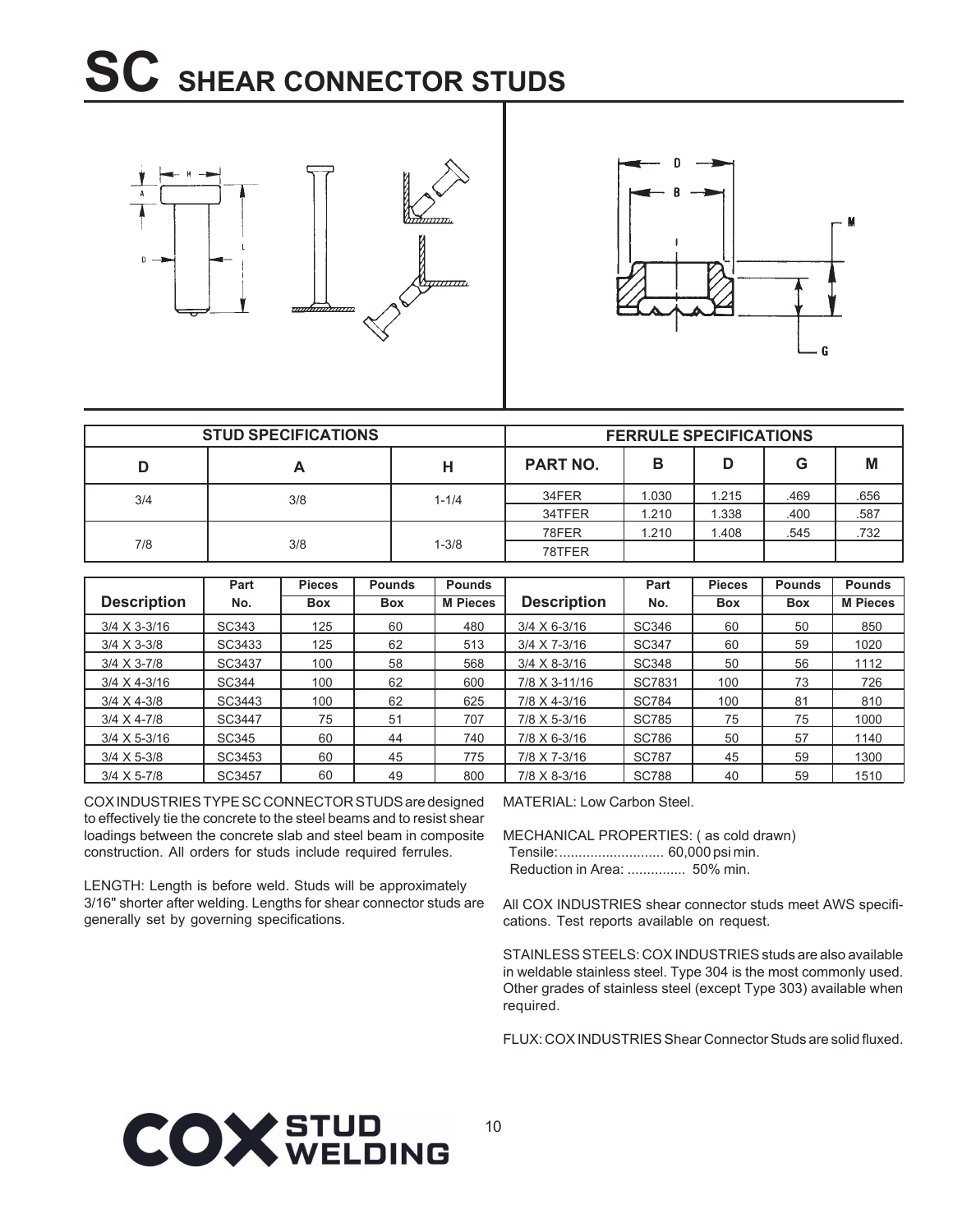### **SC SHEAR CONNECTOR STUDS**





|     | <b>STUD SPECIFICATIONS</b> |           |                 | <b>FERRULE SPECIFICATIONS</b> |       |      |      |
|-----|----------------------------|-----------|-----------------|-------------------------------|-------|------|------|
|     |                            | н         | <b>PART NO.</b> | в                             |       | G    | M    |
| 3/4 | 3/8                        | $1 - 1/4$ | 34FER           | 1.030                         | 1.215 | .469 | .656 |
|     |                            |           | 34TFER          | 1.210                         | 1.338 | .400 | .587 |
|     |                            |           | 78FER           | 1.210                         | .408  | .545 | .732 |
| 7/8 | 3/8                        | 1-3/8     | 78TFER          |                               |       |      |      |

|                       | Part   | <b>Pieces</b> | <b>Pounds</b> | <b>Pounds</b>   |                       | Part         | <b>Pieces</b> | <b>Pounds</b> | <b>Pounds</b>   |
|-----------------------|--------|---------------|---------------|-----------------|-----------------------|--------------|---------------|---------------|-----------------|
| <b>Description</b>    | No.    | <b>Box</b>    | <b>Box</b>    | <b>M Pieces</b> | <b>Description</b>    | No.          | <b>Box</b>    | <b>Box</b>    | <b>M Pieces</b> |
| $3/4 \times 3 - 3/16$ | SC343  | 125           | 60            | 480             | $3/4 \times 6 - 3/16$ | <b>SC346</b> | 60            | 50            | 850             |
| $3/4 \times 3 - 3/8$  | SC3433 | 125           | 62            | 513             | 3/4 X 7-3/16          | <b>SC347</b> | 60            | 59            | 1020            |
| $3/4 \times 3 - 7/8$  | SC3437 | 100           | 58            | 568             | $3/4 \times 8 - 3/16$ | <b>SC348</b> | 50            | 56            | 1112            |
| $3/4 \times 4 - 3/16$ | SC344  | 100           | 62            | 600             | 7/8 X 3-11/16         | SC7831       | 100           | 73            | 726             |
| $3/4 \times 4 - 3/8$  | SC3443 | 100           | 62            | 625             | 7/8 X 4-3/16          | <b>SC784</b> | 100           | 81            | 810             |
| $3/4 \times 4 - 7/8$  | SC3447 | 75            | 51            | 707             | 7/8 X 5-3/16          | <b>SC785</b> | 75            | 75            | 1000            |
| $3/4 \times 5 - 3/16$ | SC345  | 60            | 44            | 740             | 7/8 X 6-3/16          | <b>SC786</b> | 50            | 57            | 1140            |
| $3/4 \times 5 - 3/8$  | SC3453 | 60            | 45            | 775             | 7/8 X 7-3/16          | <b>SC787</b> | 45            | 59            | 1300            |
| $3/4 \times 5 - 7/8$  | SC3457 | 60            | 49            | 800             | 7/8 X 8-3/16          | <b>SC788</b> | 40            | 59            | 1510            |

COX INDUSTRIES TYPE SC CONNECTOR STUDS are designed to effectively tie the concrete to the steel beams and to resist shear loadings between the concrete slab and steel beam in composite construction. All orders for studs include required ferrules.

LENGTH: Length is before weld. Studs will be approximately 3/16" shorter after welding. Lengths for shear connector studs are generally set by governing specifications.

MATERIAL: Low Carbon Steel.

MECHANICAL PROPERTIES: ( as cold drawn) Tensile:........................... 60,000 psi min. Reduction in Area: ............... 50% min.

All COX INDUSTRIES shear connector studs meet AWS specifications. Test reports available on request.

STAINLESS STEELS: COX INDUSTRIES studs are also available in weldable stainless steel. Type 304 is the most commonly used. Other grades of stainless steel (except Type 303) available when required.

FLUX: COX INDUSTRIES Shear Connector Studs are solid fluxed.

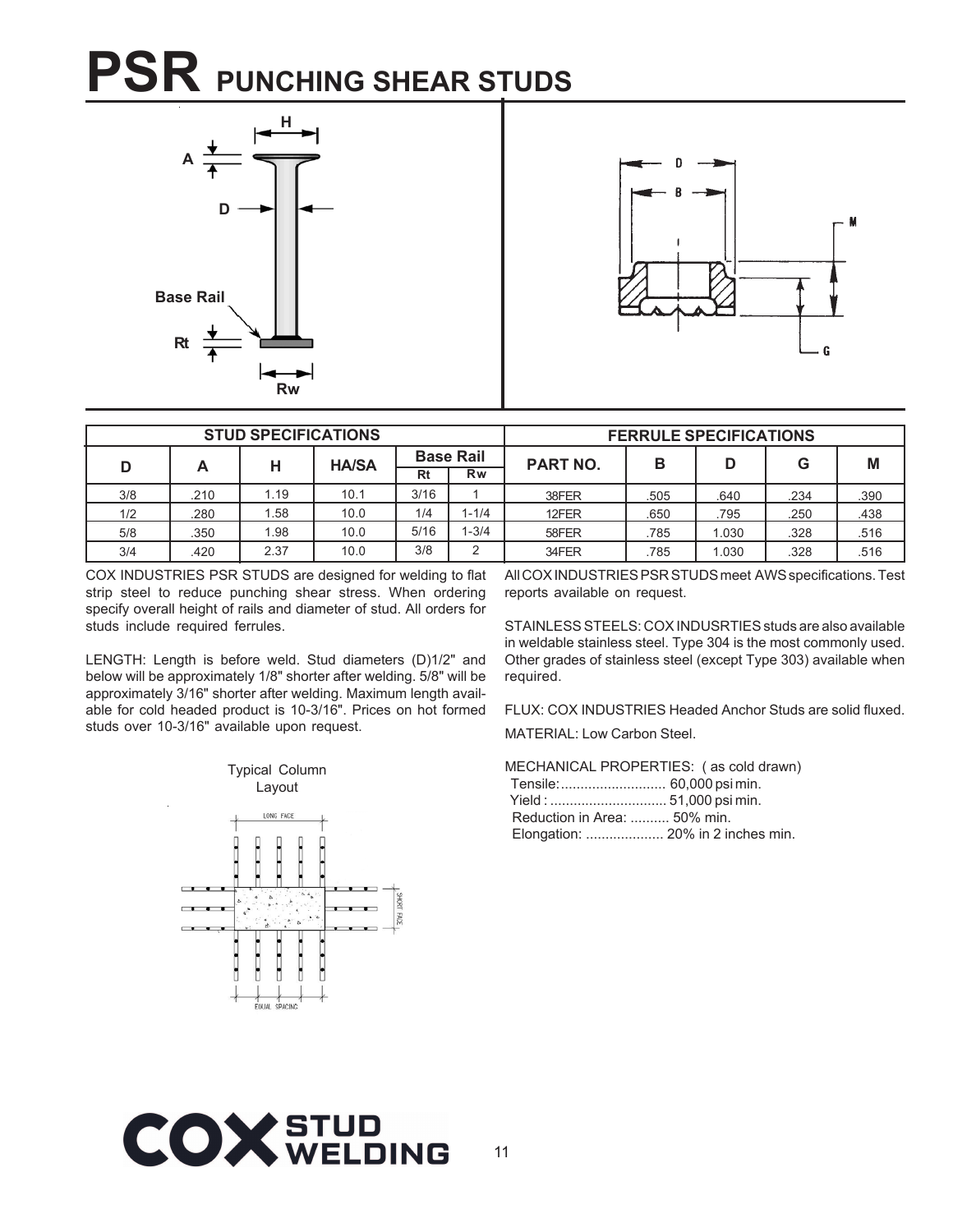### **PSR PUNCHING SHEAR STUDS**





|     |      | <b>STUD SPECIFICATIONS</b> |              |      |                  |                 | <b>FERRULE SPECIFICATIONS</b> |       |      |      |
|-----|------|----------------------------|--------------|------|------------------|-----------------|-------------------------------|-------|------|------|
| D   | Α    | н                          | <b>HA/SA</b> |      | <b>Base Rail</b> | <b>PART NO.</b> | в                             | D     | G    | M    |
|     |      |                            |              | Rt   | <b>Rw</b>        |                 |                               |       |      |      |
| 3/8 | .210 | 1.19                       | 10.1         | 3/16 |                  | 38FER           | .505                          | .640  | .234 | .390 |
| 1/2 | .280 | . 58                       | 10.0         | 1/4  | $-1/4$           | 12FER           | .650                          | .795  | .250 | .438 |
| 5/8 | .350 | .98                        | 10.0         | 5/16 | $-3/4$           | 58FER           | .785                          | 1.030 | .328 | .516 |
| 3/4 | .420 | 2.37                       | 10.0         | 3/8  | ⌒                | 34FER           | .785                          | 1.030 | .328 | 516  |

COX INDUSTRIES PSR STUDS are designed for welding to flat strip steel to reduce punching shear stress. When ordering specify overall height of rails and diameter of stud. All orders for studs include required ferrules.

LENGTH: Length is before weld. Stud diameters (D)1/2" and below will be approximately 1/8" shorter after welding. 5/8" will be approximately 3/16" shorter after welding. Maximum length available for cold headed product is 10-3/16". Prices on hot formed studs over 10-3/16" available upon request.



All COX INDUSTRIES PSR STUDS meet AWS specifications. Test reports available on request.

STAINLESS STEELS: COX INDUSRTIES studs are also available in weldable stainless steel. Type 304 is the most commonly used. Other grades of stainless steel (except Type 303) available when required.

FLUX: COX INDUSTRIES Headed Anchor Studs are solid fluxed. MATERIAL: Low Carbon Steel.

MECHANICAL PROPERTIES: ( as cold drawn) Tensile:........................... 60,000 psi min.  $51.000$  poi min

| Reduction in Area:  50% min. |                                   |
|------------------------------|-----------------------------------|
|                              | Elongation:  20% in 2 inches min. |

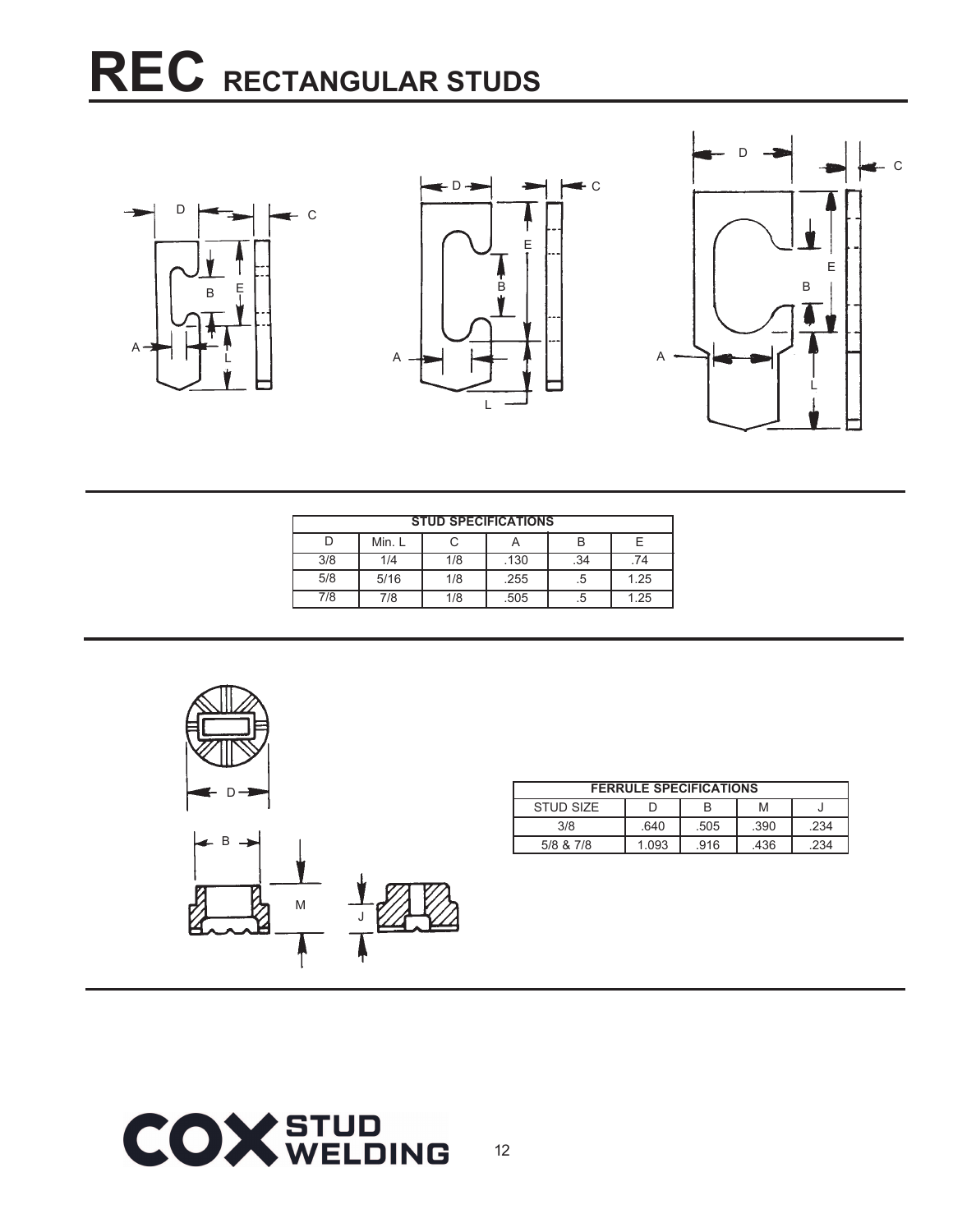### **REC RECTANGULAR STUDS**







|     |        | <b>STUD SPECIFICATIONS</b> |      |     |      |  |
|-----|--------|----------------------------|------|-----|------|--|
|     | Min. L |                            |      |     |      |  |
| 3/8 | 1/4    | 1/8                        | .130 | .34 | 74   |  |
| 5/8 | 5/16   | 1/8                        | .255 | .5  | 1.25 |  |
| 7/8 | 7/8    | 1/8                        | .505 |     | 1.25 |  |



| <b>FERRULE SPECIFICATIONS</b> |       |      |      |     |  |
|-------------------------------|-------|------|------|-----|--|
| STUD SIZE                     |       |      | M    |     |  |
| 3/8                           | 640   | .505 | .390 | 234 |  |
| 5/8 & 7/8                     | 1.093 | 916  | .436 | 234 |  |

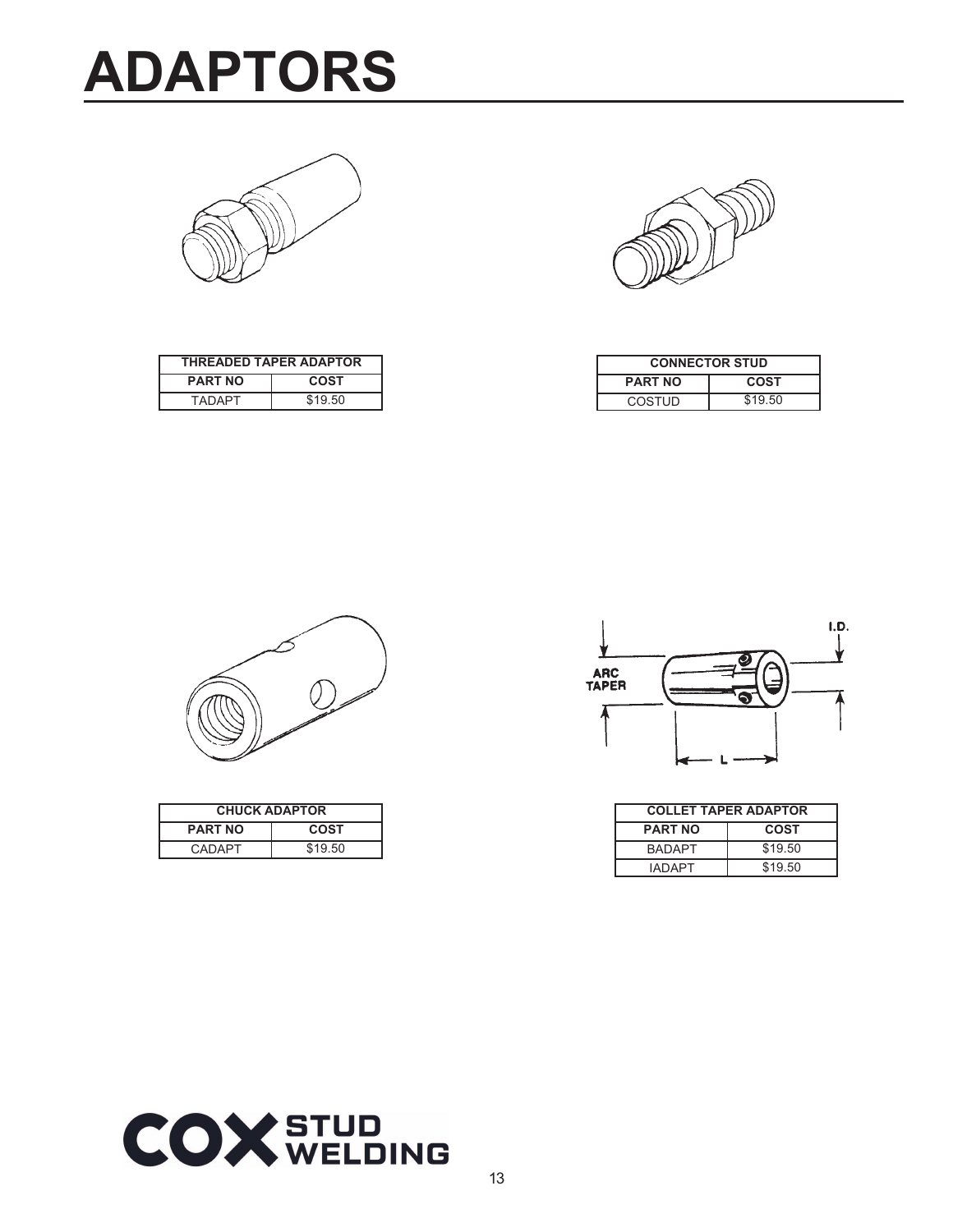





| <b>THREADED TAPER ADAPTOR</b> |         |  |  |  |
|-------------------------------|---------|--|--|--|
| <b>PART NO</b>                | COST    |  |  |  |
| <b>TADAPT</b>                 | \$19.50 |  |  |  |

| <b>CONNECTOR STUD</b>         |  |  |  |
|-------------------------------|--|--|--|
| <b>PART NO</b><br><b>COST</b> |  |  |  |
| \$19.50<br>COSTUD             |  |  |  |



| <b>CHUCK ADAPTOR</b>   |  |  |  |  |
|------------------------|--|--|--|--|
| <b>PART NO</b><br>COST |  |  |  |  |
| \$19.50<br>CADAPT      |  |  |  |  |



| <b>COLLET TAPER ADAPTOR</b>   |         |  |  |
|-------------------------------|---------|--|--|
| <b>PART NO</b><br><b>COST</b> |         |  |  |
| <b>BADAPT</b>                 | \$19.50 |  |  |
| <b>IADAPT</b>                 | \$19.50 |  |  |

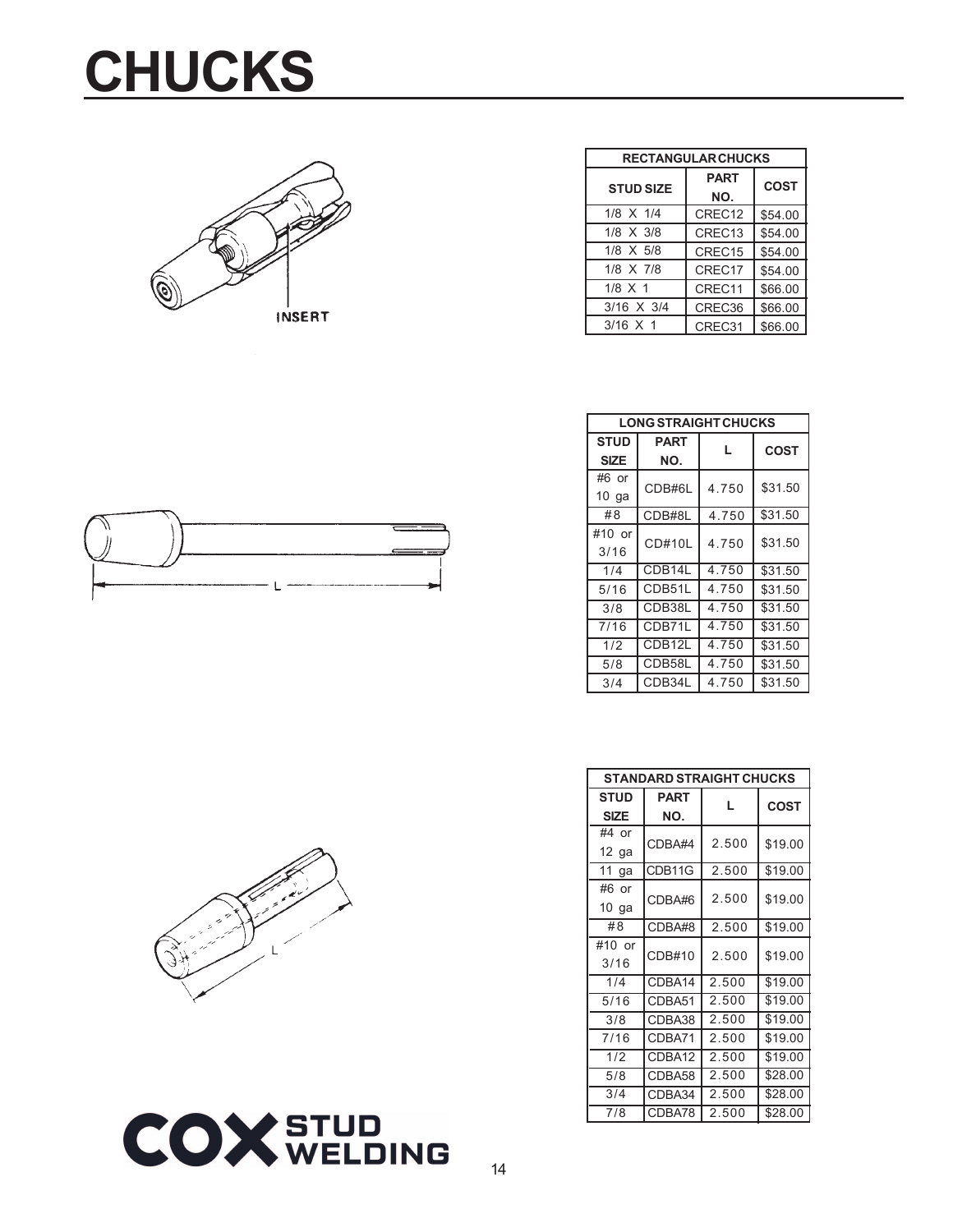### **CHUCKS**



| <b>RECTANGULAR CHUCKS</b> |                                   |         |  |  |
|---------------------------|-----------------------------------|---------|--|--|
| <b>STUD SIZE</b>          | <b>PART</b><br><b>COST</b><br>NO. |         |  |  |
| 1/8 X 1/4                 | CRFC <sub>12</sub>                | \$54.00 |  |  |
| 1/8 X 3/8                 | CREC <sub>13</sub>                | \$54.00 |  |  |
| $1/8$ X 5/8               | CREC <sub>15</sub>                | \$54.00 |  |  |
| 1/8 X 7/8                 | CREC <sub>17</sub>                | \$54.00 |  |  |
| $1/8 \times 1$            | CREC11                            | \$66.00 |  |  |
| 3/16 X 3/4                | CREC36                            | \$66.00 |  |  |
| $3/16 \times 1$           | CREC31                            | \$66.00 |  |  |

| <b>LONG STRAIGHT CHUCKS</b> |             |       |             |  |  |  |
|-----------------------------|-------------|-------|-------------|--|--|--|
| <b>STUD</b>                 | <b>PART</b> | L     | <b>COST</b> |  |  |  |
| <b>SIZE</b>                 | NO.         |       |             |  |  |  |
| #6 or                       | CDB#6L      | 4.750 | \$31.50     |  |  |  |
| $10$ ga                     |             |       |             |  |  |  |
| #8                          | CDB#8L      | 4.750 | \$31.50     |  |  |  |
| #10 or                      | CD#10L      | 4.750 | \$31.50     |  |  |  |
| 3/16                        |             |       |             |  |  |  |
| 1/4                         | CDB14L      | 4.750 | \$31.50     |  |  |  |
| 5/16                        | CDB51L      | 4.750 | \$31.50     |  |  |  |
| 3/8                         | CDB38L      | 4.750 | \$31.50     |  |  |  |
| 7/16                        | CDB71L      | 4.750 | \$31.50     |  |  |  |
| 1/2                         | CDB12L      | 4.750 | \$31.50     |  |  |  |
| 5/8                         | CDB58L      | 4.750 | \$31.50     |  |  |  |
| 3/4                         | CDB34L      | 4.750 | \$31.50     |  |  |  |

| STANDARD STRAIGHT CHUCKS   |                         |       |             |  |  |  |
|----------------------------|-------------------------|-------|-------------|--|--|--|
| <b>STUD</b><br><b>SIZE</b> | <b>PART</b><br>L<br>NO. |       | <b>COST</b> |  |  |  |
| #4 or<br>$12$ ga           | CDBA#4                  | 2.500 | \$19.00     |  |  |  |
| 11<br>ga                   | CDB11G                  | 2.500 | \$19.00     |  |  |  |
| #6 or<br>$10$ ga           | CDBA#6                  | 2.500 | \$19.00     |  |  |  |
| #8                         | CDBA#8                  | 2.500 | \$19.00     |  |  |  |
| #10 or<br>3/16             | CDB#10                  | 2.500 | \$19.00     |  |  |  |
| 1/4                        | CDBA14                  | 2.500 | \$19.00     |  |  |  |
| 5/16                       | CDBA51                  | 2.500 | \$19.00     |  |  |  |
| 3/8                        | CDBA38                  | 2.500 | \$19.00     |  |  |  |
| 7/16                       | CDBA71                  | 2.500 | \$19.00     |  |  |  |
| 1/2                        | CDBA12                  | 2.500 | \$19.00     |  |  |  |
| 5/8                        | CDBA58                  | 2.500 | \$28.00     |  |  |  |
| 3/4                        | CDBA34                  | 2.500 | \$28.00     |  |  |  |
| 7/8                        | CDBA78                  | 2.500 | \$28.00     |  |  |  |



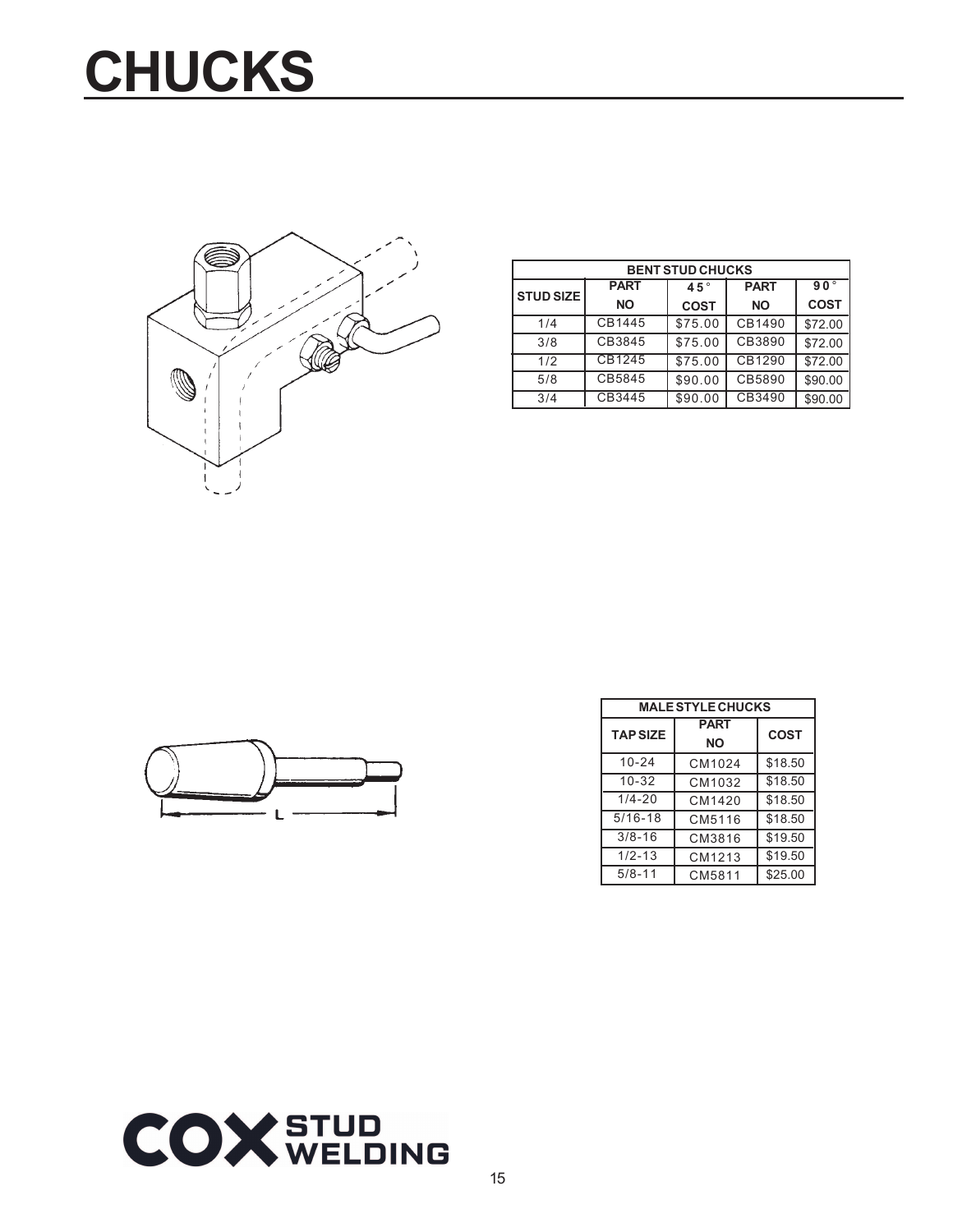# **CHUCKS**



| <b>BENT STUD CHUCKS</b> |             |               |             |              |  |  |
|-------------------------|-------------|---------------|-------------|--------------|--|--|
| <b>STUD SIZE</b>        | <b>PART</b> | 45 $^{\circ}$ | <b>PART</b> | $90^{\circ}$ |  |  |
|                         | <b>NO</b>   | <b>COST</b>   | <b>NO</b>   | <b>COST</b>  |  |  |
| 1/4                     | CB1445      | \$75.00       | CB1490      | \$72.00      |  |  |
| 3/8                     | CB3845      | \$75.00       | CB3890      | \$72.00      |  |  |
| 1/2                     | CB1245      | \$75.00       | CB1290      | \$72.00      |  |  |
| 5/8                     | CB5845      | \$90.00       | CB5890      | \$90.00      |  |  |
| 3/4                     | CB3445      | \$90.00       | CB3490      | \$90.00      |  |  |



| <b>MALE STYLE CHUCKS</b> |                   |             |  |  |
|--------------------------|-------------------|-------------|--|--|
| <b>TAP SIZE</b>          | <b>PART</b><br>NΟ | <b>COST</b> |  |  |
| $10 - 24$                | CM1024            | \$18.50     |  |  |
| $10 - 32$                | CM1032            | \$18.50     |  |  |
| $1/4 - 20$               | CM1420            | \$18.50     |  |  |
| $5/16 - 18$              | CM5116            | \$18.50     |  |  |
| $3/8 - 16$               | CM3816            | \$19.50     |  |  |
| $1/2 - 13$               | CM1213            | \$19.50     |  |  |
| $5/8 - 11$               | CM5811            | \$25.00     |  |  |

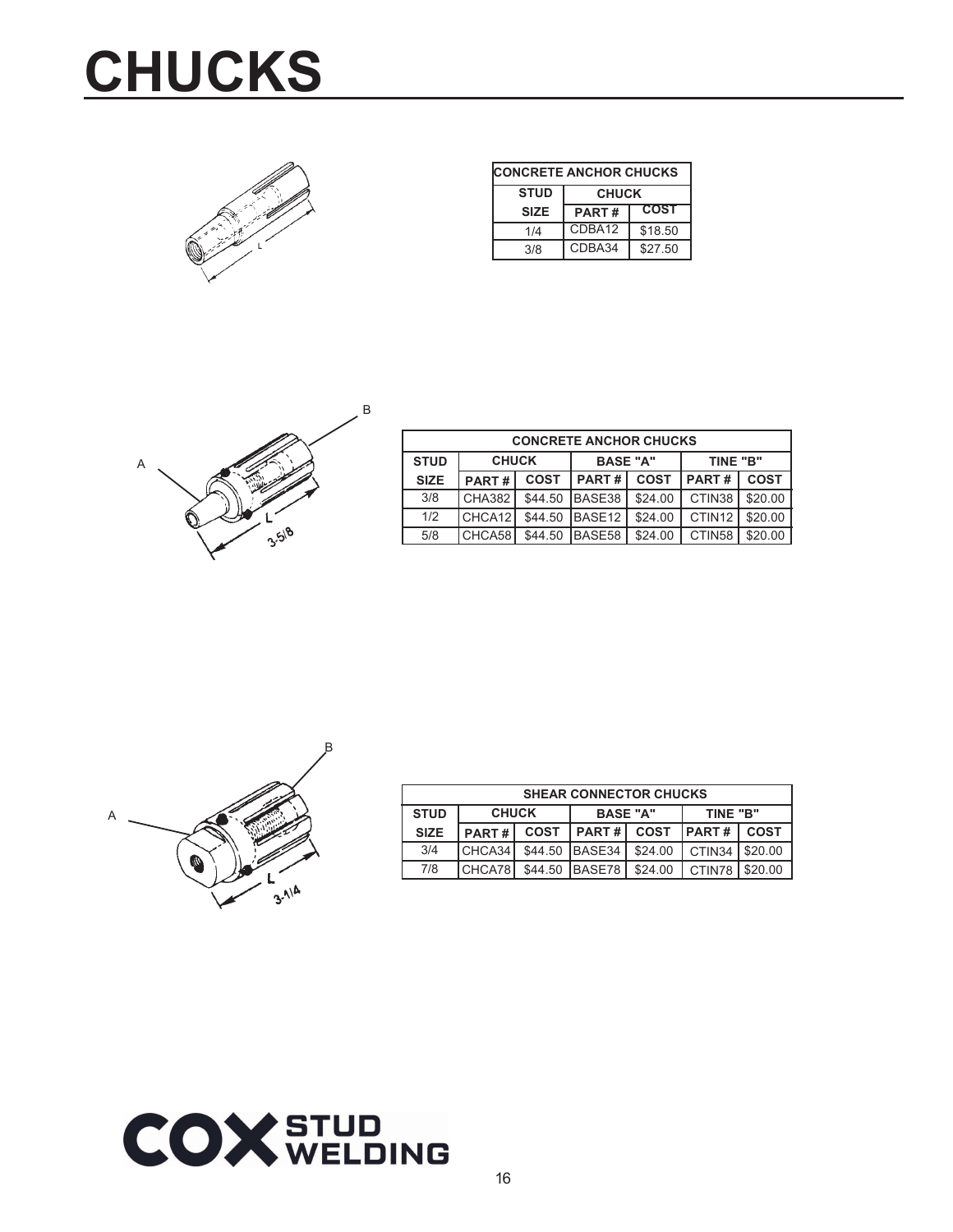### **CHUCKS**



| <b>CONCRETE ANCHOR CHUCKS</b> |                             |         |  |  |  |
|-------------------------------|-----------------------------|---------|--|--|--|
| <b>STUD</b>                   | <b>CHUCK</b>                |         |  |  |  |
| <b>SIZE</b>                   | <b>COST</b><br><b>PART#</b> |         |  |  |  |
| 1/4                           | CDBA12                      | \$18.50 |  |  |  |
| CDBA34<br>\$27.50<br>3/8      |                             |         |  |  |  |



| <b>CONCRETE ANCHOR CHUCKS</b>                              |        |             |                      |         |                    |             |
|------------------------------------------------------------|--------|-------------|----------------------|---------|--------------------|-------------|
| <b>CHUCK</b><br><b>STUD</b><br><b>BASE "A"</b><br>TINE "B" |        |             |                      |         |                    |             |
| <b>SIZE</b>                                                | PART#  | <b>COST</b> | PART#<br><b>COST</b> |         | PART#              | <b>COST</b> |
| 3/8                                                        | CHA382 | \$44.50     | BASE38               | \$24.00 | CTIN38             | \$20.00     |
| 1/2                                                        | CHCA12 | \$44.50     | <b>IBASE12</b>       | \$24.00 | CTIN <sub>12</sub> | \$20.00     |
| 5/8                                                        | CHCA58 | \$44.50     | BASE58               | \$24.00 | CTIN58             | \$20.00     |



| <b>SHEAR CONNECTOR CHUCKS</b> |                                             |             |                |             |              |             |
|-------------------------------|---------------------------------------------|-------------|----------------|-------------|--------------|-------------|
| <b>STUD</b>                   | <b>CHUCK</b><br><b>BASE "A"</b><br>TINE "B" |             |                |             |              |             |
| <b>SIZE</b>                   | PART#                                       | <b>COST</b> | <b>PART#</b>   | <b>COST</b> | <b>PART#</b> | <b>COST</b> |
| 3/4                           | CHCA34                                      |             | \$44.50 BASE34 | \$24.00     | CTIN34       | \$20.00     |
| 7/8                           | CHCA78                                      |             | \$44.50 BASE78 | \$24.00     | CTIN78       | $1$ \$20.00 |

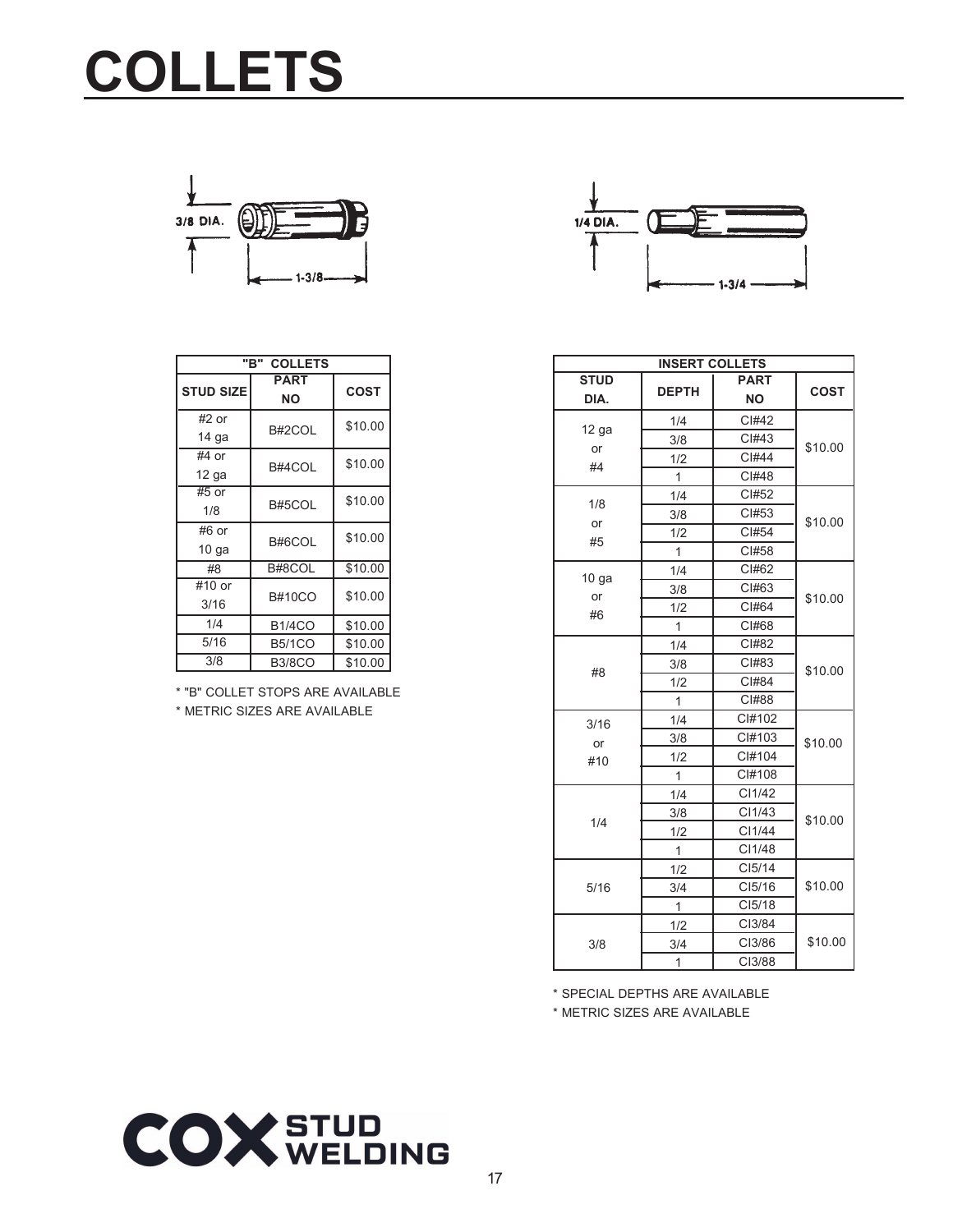### **COLLETS**



|                  | <b>COLLETS</b><br>"R" |             |  |  |  |
|------------------|-----------------------|-------------|--|--|--|
| <b>STUD SIZE</b> | <b>PART</b><br>NΟ     | <b>COST</b> |  |  |  |
| $#2$ or          | B#2COL                | \$10.00     |  |  |  |
| 14 ga            |                       |             |  |  |  |
| #4 or            | B#4COL                | \$10.00     |  |  |  |
| $12$ ga          |                       |             |  |  |  |
| #5 or            | B#5COL                | \$10.00     |  |  |  |
| 1/8              |                       |             |  |  |  |
| #6 or            | B#6COL                | \$10.00     |  |  |  |
| 10 <sub>ga</sub> |                       |             |  |  |  |
| #8               | B#8COL                | \$10.00     |  |  |  |
| #10 or           | <b>B#10CO</b>         | \$10.00     |  |  |  |
| 3/16             |                       |             |  |  |  |
| 1/4              | <b>B1/4CO</b>         | \$10.00     |  |  |  |
| 5/16             | <b>B5/1CO</b>         | \$10.00     |  |  |  |
| 3/8              | <b>B3/8CO</b>         | \$10.00     |  |  |  |

\* "B" COLLET STOPS ARE AVAILABLE \* METRIC SIZES ARE AVAILABLE



| <b>INSERT COLLETS</b> |              |             |             |  |  |
|-----------------------|--------------|-------------|-------------|--|--|
| <b>STUD</b>           |              | <b>PART</b> | <b>COST</b> |  |  |
| DIA.                  | <b>DEPTH</b> | ΝO          |             |  |  |
|                       | 1/4          | CI#42       |             |  |  |
| 12 ga<br>or           | 3/8          | CI#43       | \$10.00     |  |  |
| #4                    | 1/2          | CI#44       |             |  |  |
|                       | 1            | CI#48       |             |  |  |
|                       | 1/4          | CI#52       |             |  |  |
| 1/8                   | 3/8          | CI#53       | \$10.00     |  |  |
| or                    | 1/2          | CI#54       |             |  |  |
| #5                    | 1            | CI#58       |             |  |  |
| $10g$ a               | 1/4          | CI#62       |             |  |  |
|                       | 3/8          | CI#63       |             |  |  |
| or<br>#6              | 1/2          | CI#64       | \$10.00     |  |  |
|                       | 1            | CI#68       |             |  |  |
|                       | 1/4          | CI#82       |             |  |  |
| #8                    | 3/8          | CI#83       | \$10.00     |  |  |
|                       | 1/2          | CI#84       |             |  |  |
|                       | $\mathbf{1}$ | CI#88       |             |  |  |
| 3/16                  | 1/4          | CI#102      |             |  |  |
| or                    | 3/8          | CI#103      | \$10.00     |  |  |
| #10                   | 1/2          | CI#104      |             |  |  |
|                       | 1            | CI#108      |             |  |  |
|                       | 1/4          | CI1/42      |             |  |  |
|                       | 3/8          | CI1/43      | \$10.00     |  |  |
| 1/4                   | 1/2          | CI1/44      |             |  |  |
|                       | 1            | CI1/48      |             |  |  |
|                       | 1/2          | CI5/14      |             |  |  |
| 5/16                  | 3/4          | CI5/16      | \$10.00     |  |  |
|                       | 1            | CI5/18      |             |  |  |
|                       | 1/2          | CI3/84      |             |  |  |
| 3/8                   | 3/4          | CI3/86      | \$10.00     |  |  |
|                       | 1            | CI3/88      |             |  |  |

\* SPECIAL DEPTHS ARE AVAILABLE

\* METRIC SIZES ARE AVAILABLE

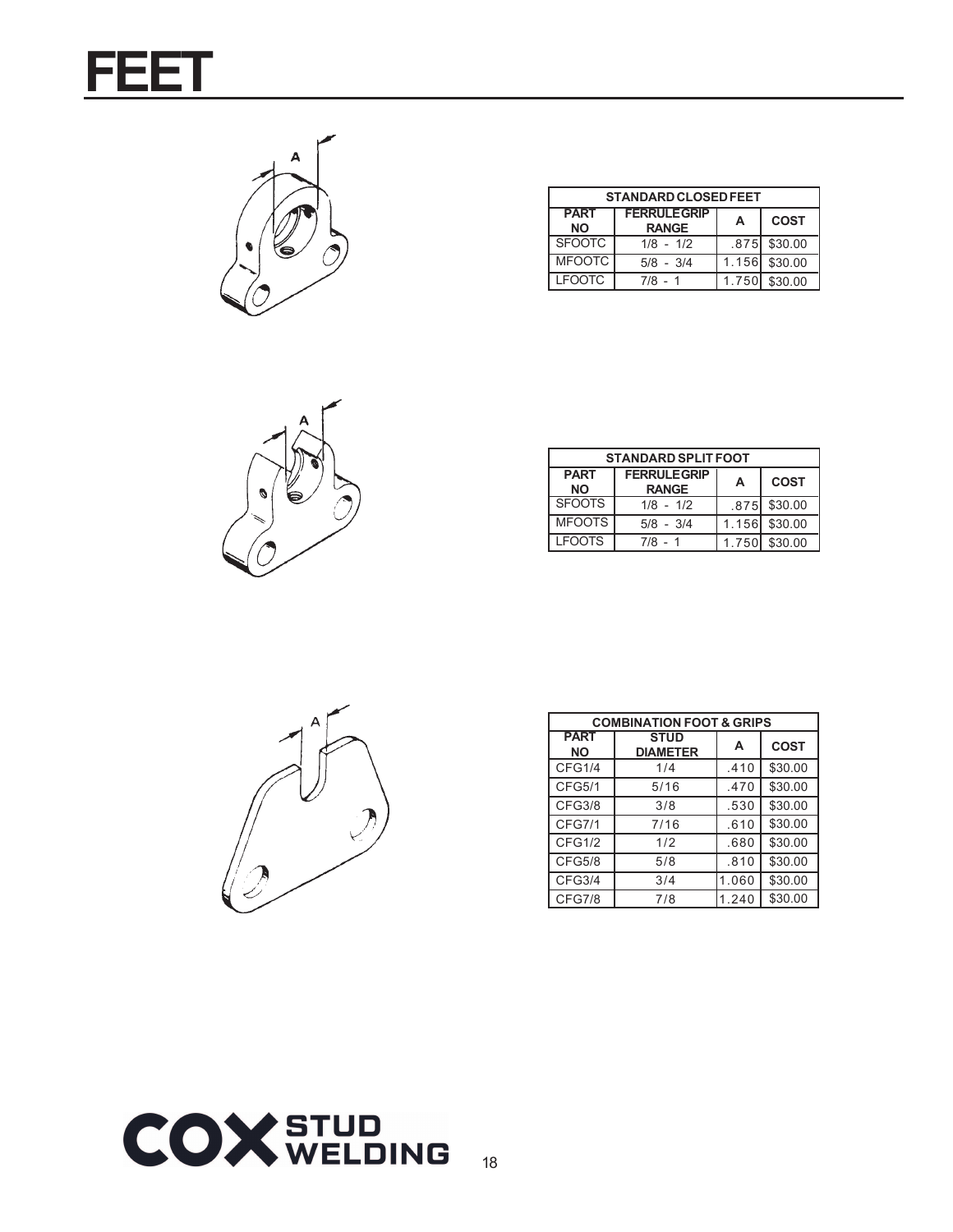



| <b>STANDARD CLOSED FEET</b> |                                     |       |             |  |  |
|-----------------------------|-------------------------------------|-------|-------------|--|--|
| <b>PART</b><br><b>NO</b>    | <b>FERRULE GRIP</b><br><b>RANGE</b> | А     | <b>COST</b> |  |  |
| <b>SFOOTC</b>               | $1/8 - 1/2$                         | .875  | \$30.00     |  |  |
| <b>MFOOTC</b>               | $5/8 - 3/4$                         | 1.156 | \$30.00     |  |  |
| <b>LEOOTC</b>               | $7/8 - 1$                           | 1.750 | \$30.00     |  |  |



| <b>STANDARD SPLIT FOOT</b> |                                     |       |              |  |
|----------------------------|-------------------------------------|-------|--------------|--|
| <b>PART</b><br><b>NO</b>   | <b>FERRULE GRIP</b><br><b>RANGE</b> | A     | <b>COST</b>  |  |
| <b>SFOOTS</b>              | $1/8 - 1/2$                         |       | .875 \$30.00 |  |
| <b>MFOOTS</b>              | $5/8 - 3/4$                         | 1.156 | \$30.00      |  |
| <b>LFOOTS</b>              | $7/8 - 1$                           | 1.750 | \$30.00      |  |



| <b>COMBINATION FOOT &amp; GRIPS</b> |                                |       |             |  |
|-------------------------------------|--------------------------------|-------|-------------|--|
| <b>PART</b><br>ΝO                   | <b>STUD</b><br><b>DIAMETER</b> | A     | <b>COST</b> |  |
| CFG1/4                              | 1/4                            | .410  | \$30.00     |  |
| <b>CFG5/1</b>                       | 5/16                           | .470  | \$30.00     |  |
| <b>CFG3/8</b>                       | 3/8                            | .530  | \$30.00     |  |
| <b>CFG7/1</b>                       | 7/16                           | .610  | \$30.00     |  |
| CFG1/2                              | 1/2                            | .680  | \$30.00     |  |
| <b>CFG5/8</b>                       | 5/8                            | .810  | \$30.00     |  |
| CFG3/4                              | 3/4                            | 1.060 | \$30.00     |  |
| CFG7/8                              | 7/8                            | 1.240 | \$30.00     |  |

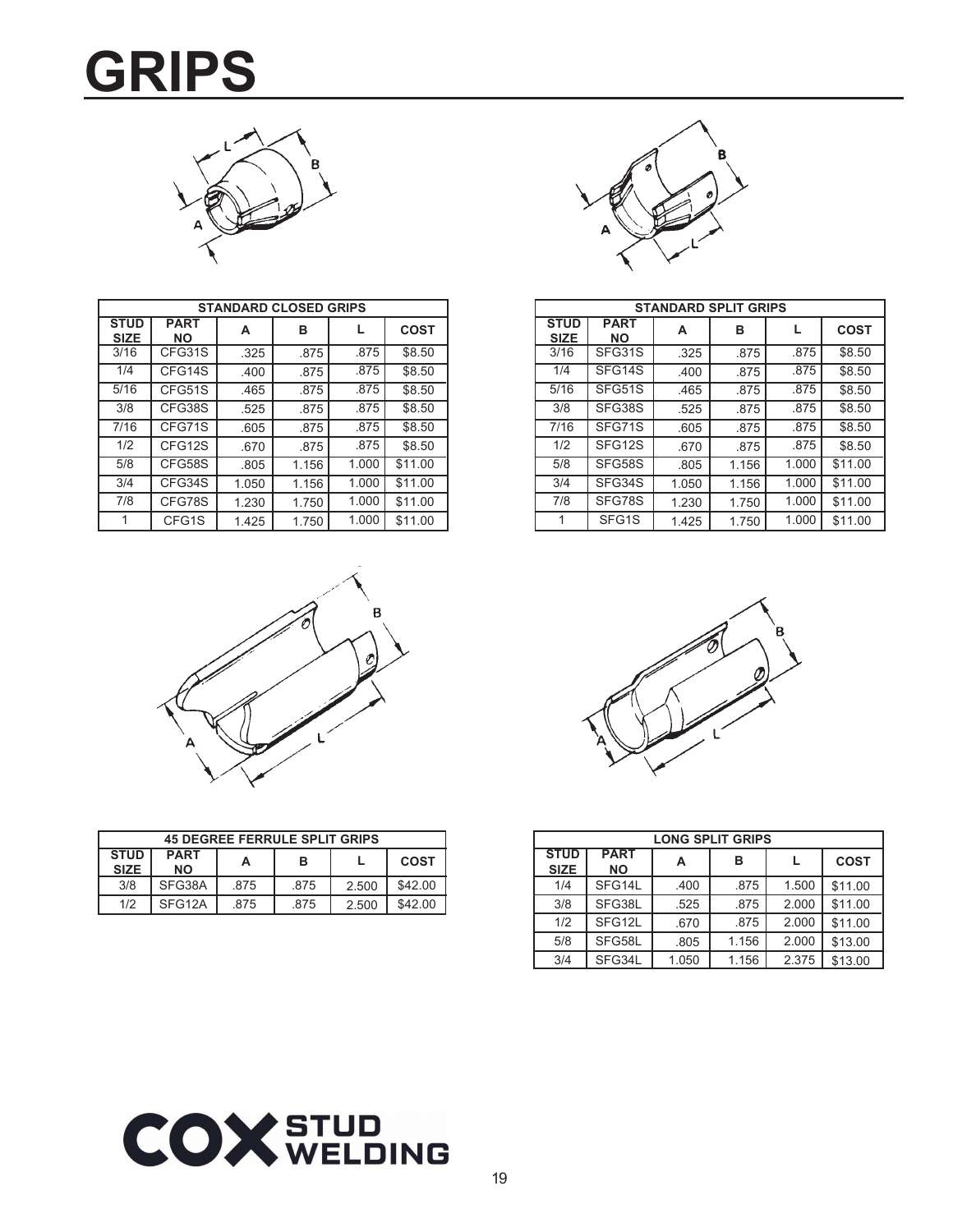### **GRIPS**



| <b>STANDARD CLOSED GRIPS</b> |                          |       |       |       |             |
|------------------------------|--------------------------|-------|-------|-------|-------------|
| <b>STUD</b><br><b>SIZE</b>   | <b>PART</b><br><b>NO</b> | A     | в     | L     | <b>COST</b> |
| 3/16                         | CFG31S                   | .325  | .875  | .875  | \$8.50      |
| 1/4                          | CFG14S                   | .400  | .875  | .875  | \$8.50      |
| 5/16                         | CFG51S                   | .465  | .875  | .875  | \$8.50      |
| 3/8                          | CFG38S                   | .525  | .875  | .875  | \$8.50      |
| 7/16                         | CFG71S                   | .605  | .875  | .875  | \$8.50      |
| 1/2                          | CFG12S                   | .670  | .875  | .875  | \$8.50      |
| 5/8                          | CFG58S                   | .805  | 1.156 | 1.000 | \$11.00     |
| 3/4                          | CFG34S                   | 1.050 | 1.156 | 1.000 | \$11.00     |
| 7/8                          | CFG78S                   | 1.230 | 1.750 | 1.000 | \$11.00     |
| 1                            | CFG1S                    | 1.425 | 1.750 | 1.000 | \$11.00     |



|                            | <b>STANDARD SPLIT GRIPS</b> |       |       |       |             |
|----------------------------|-----------------------------|-------|-------|-------|-------------|
| <b>STUD</b><br><b>SIZE</b> | <b>PART</b><br><b>NO</b>    | А     | в     |       | <b>COST</b> |
| 3/16                       | SFG31S                      | .325  | .875  | .875  | \$8.50      |
| 1/4                        | SFG14S                      | .400  | .875  | .875  | \$8.50      |
| 5/16                       | SFG51S                      | .465  | .875  | .875  | \$8.50      |
| 3/8                        | SFG38S                      | .525  | .875  | .875  | \$8.50      |
| 7/16                       | SFG71S                      | .605  | .875  | .875  | \$8.50      |
| 1/2                        | SFG12S                      | .670  | .875  | .875  | \$8.50      |
| 5/8                        | SFG58S                      | .805  | 1.156 | 1.000 | \$11.00     |
| 3/4                        | SFG34S                      | 1.050 | 1.156 | 1.000 | \$11.00     |
| 7/8                        | SFG78S                      | 1.230 | 1.750 | 1.000 | \$11.00     |
| 1                          | SFG1S                       | 1.425 | 1.750 | 1.000 | \$11.00     |



| <b>45 DEGREE FERRULE SPLIT GRIPS</b>                                            |        |      |      |       |         |
|---------------------------------------------------------------------------------|--------|------|------|-------|---------|
| <b>STUD</b><br><b>PART</b><br>в<br><b>COST</b><br>А<br><b>SIZE</b><br><b>NO</b> |        |      |      |       |         |
| 3/8                                                                             | SFG38A | .875 | .875 | 2.500 | \$42.00 |
| 1/2                                                                             | SFG12A | 875  | .875 | 2.500 | \$42.00 |



| <b>LONG SPLIT GRIPS</b>    |                          |       |       |       |             |
|----------------------------|--------------------------|-------|-------|-------|-------------|
| <b>STUD</b><br><b>SIZE</b> | <b>PART</b><br><b>NO</b> | A     | в     |       | <b>COST</b> |
| 1/4                        | SFG14L                   | .400  | .875  | 1.500 | \$11.00     |
| 3/8                        | SFG38L                   | .525  | .875  | 2.000 | \$11.00     |
| 1/2                        | SFG12L                   | .670  | .875  | 2.000 | \$11.00     |
| 5/8                        | SFG58L                   | .805  | 1.156 | 2.000 | \$13.00     |
| 3/4                        | SFG34L                   | 1.050 | 1.156 | 2.375 | \$13.00     |

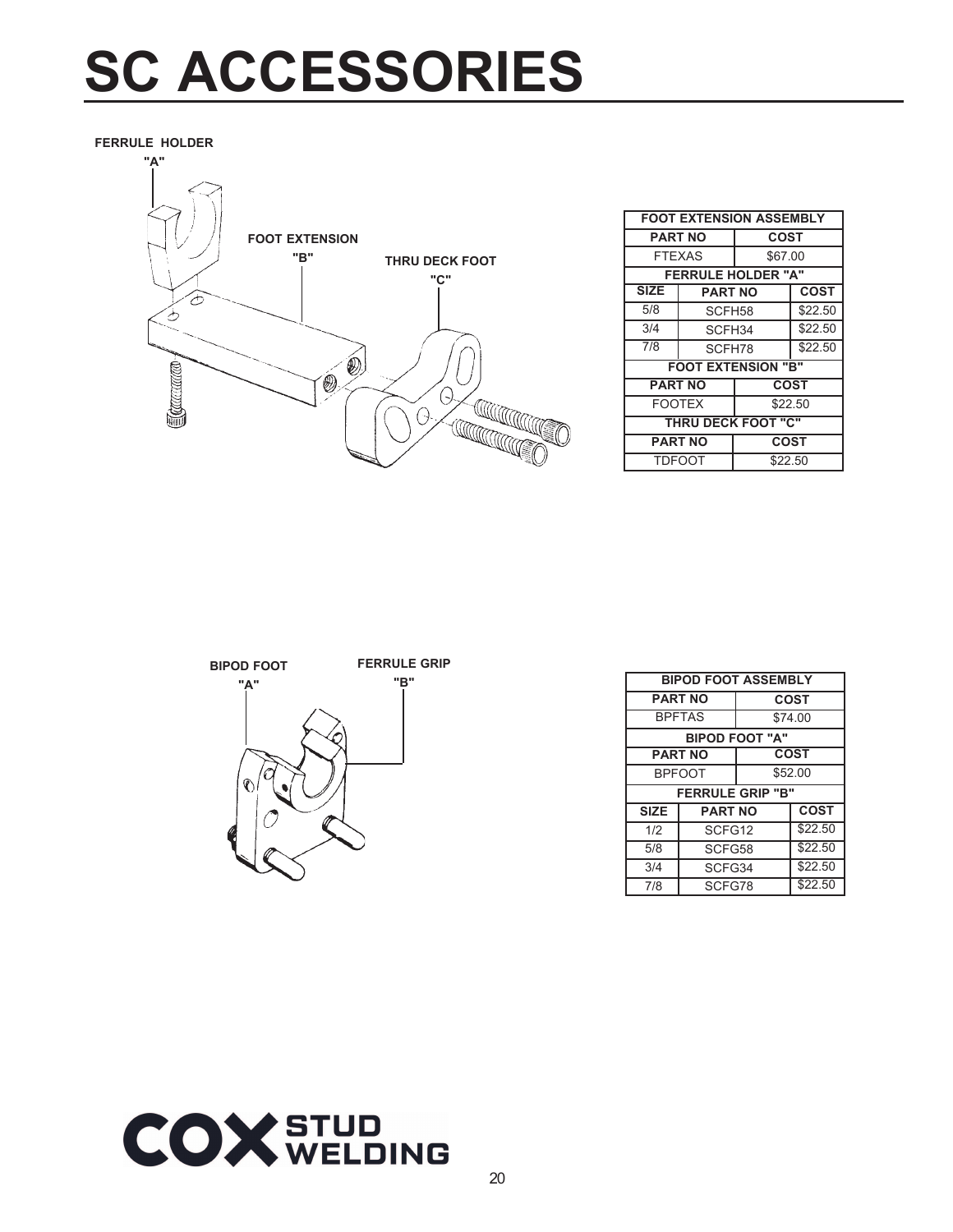### **SC ACCESSORIES**

**FERRULE HOLDER**



| <b>FOOT EXTENSION ASSEMBLY</b> |                               |                           |             |
|--------------------------------|-------------------------------|---------------------------|-------------|
| <b>PART NO</b>                 |                               | <b>COST</b>               |             |
| <b>FTEXAS</b>                  |                               | \$67.00                   |             |
|                                |                               | <b>FERRULE HOLDER "A"</b> |             |
| <b>SIZE</b>                    | <b>PART NO</b>                |                           | <b>COST</b> |
| 5/8                            | SCFH58                        |                           | \$22.50     |
| 3/4                            | SCFH34                        |                           | \$22.50     |
| 7/8                            | SCFH78                        |                           | \$22.50     |
|                                |                               | <b>FOOT EXTENSION "B"</b> |             |
|                                | <b>COST</b><br><b>PART NO</b> |                           |             |
| <b>FOOTEX</b>                  |                               | \$22.50                   |             |
| <b>THRU DECK FOOT "C"</b>      |                               |                           |             |
| <b>PART NO</b>                 |                               | COST                      |             |
|                                | <b>TDFOOT</b>                 | \$22.50                   |             |

| <b>BIPOD FOOT</b> |  |
|-------------------|--|
| " ^ "             |  |

**FERRULE GRIP**

| "A" | H<br>R |
|-----|--------|
|     |        |
|     |        |
|     |        |
|     |        |
|     |        |
|     |        |
|     |        |
|     |        |
|     |        |
|     |        |
|     |        |
|     |        |

| ו טט דע      |                            |                |             |             |
|--------------|----------------------------|----------------|-------------|-------------|
| "в"<br>"А"   | <b>BIPOD FOOT ASSEMBLY</b> |                |             |             |
|              | <b>PART NO</b>             |                | <b>COST</b> |             |
|              | <b>BPFTAS</b>              |                | \$74.00     |             |
| $\mathbb{Q}$ | <b>BIPOD FOOT "A"</b>      |                |             |             |
|              |                            | <b>PART NO</b> | <b>COST</b> |             |
|              | <b>BPFOOT</b>              |                | \$52.00     |             |
|              | <b>FERRULE GRIP "B"</b>    |                |             |             |
|              | <b>SIZE</b>                | <b>PART NO</b> |             | <b>COST</b> |
|              | 1/2                        | SCFG12         |             | \$22.50     |
|              | 5/8                        | SCFG58         |             | \$22.50     |
|              | 3/4                        | SCFG34         |             | \$22.50     |
|              | 7/8                        | SCFG78         |             | \$22.50     |